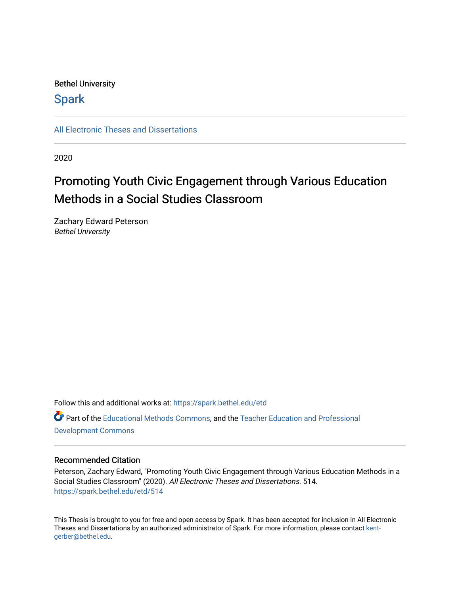## Bethel University

## **Spark**

[All Electronic Theses and Dissertations](https://spark.bethel.edu/etd) 

2020

# Promoting Youth Civic Engagement through Various Education Methods in a Social Studies Classroom

Zachary Edward Peterson Bethel University

Follow this and additional works at: [https://spark.bethel.edu/etd](https://spark.bethel.edu/etd?utm_source=spark.bethel.edu%2Fetd%2F514&utm_medium=PDF&utm_campaign=PDFCoverPages) Part of the [Educational Methods Commons,](http://network.bepress.com/hgg/discipline/1227?utm_source=spark.bethel.edu%2Fetd%2F514&utm_medium=PDF&utm_campaign=PDFCoverPages) and the [Teacher Education and Professional](http://network.bepress.com/hgg/discipline/803?utm_source=spark.bethel.edu%2Fetd%2F514&utm_medium=PDF&utm_campaign=PDFCoverPages)  [Development Commons](http://network.bepress.com/hgg/discipline/803?utm_source=spark.bethel.edu%2Fetd%2F514&utm_medium=PDF&utm_campaign=PDFCoverPages) 

## Recommended Citation

Peterson, Zachary Edward, "Promoting Youth Civic Engagement through Various Education Methods in a Social Studies Classroom" (2020). All Electronic Theses and Dissertations. 514. [https://spark.bethel.edu/etd/514](https://spark.bethel.edu/etd/514?utm_source=spark.bethel.edu%2Fetd%2F514&utm_medium=PDF&utm_campaign=PDFCoverPages)

This Thesis is brought to you for free and open access by Spark. It has been accepted for inclusion in All Electronic Theses and Dissertations by an authorized administrator of Spark. For more information, please contact [kent](mailto:kent-gerber@bethel.edu)[gerber@bethel.edu.](mailto:kent-gerber@bethel.edu)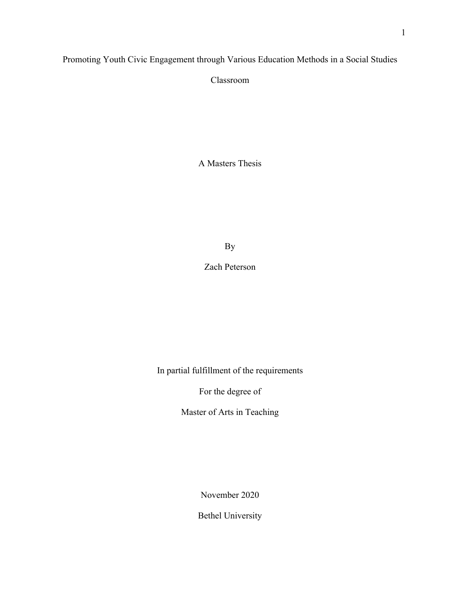## Promoting Youth Civic Engagement through Various Education Methods in a Social Studies

Classroom

A Masters Thesis

By

Zach Peterson

In partial fulfillment of the requirements

For the degree of

Master of Arts in Teaching

November 2020

Bethel University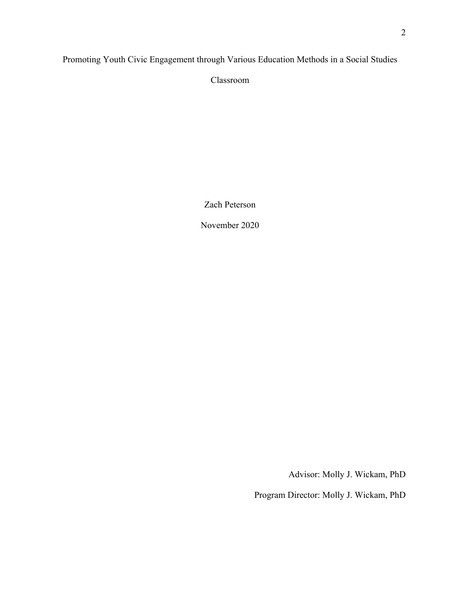Promoting Youth Civic Engagement through Various Education Methods in a Social Studies

Classroom

Zach Peterson

November 2020

Advisor: Molly J. Wickam, PhD

Program Director: Molly J. Wickam, PhD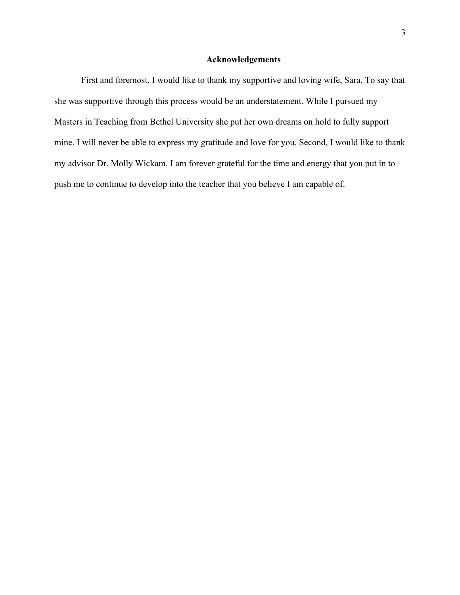## **Acknowledgements**

First and foremost, I would like to thank my supportive and loving wife, Sara. To say that she was supportive through this process would be an understatement. While I pursued my Masters in Teaching from Bethel University she put her own dreams on hold to fully support mine. I will never be able to express my gratitude and love for you. Second, I would like to thank my advisor Dr. Molly Wickam. I am forever grateful for the time and energy that you put in to push me to continue to develop into the teacher that you believe I am capable of.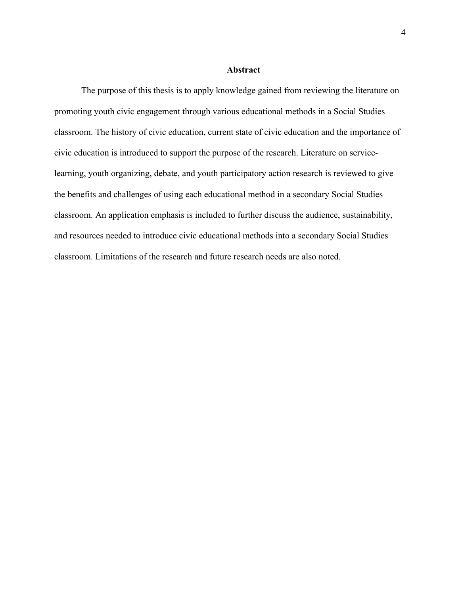#### **Abstract**

The purpose of this thesis is to apply knowledge gained from reviewing the literature on promoting youth civic engagement through various educational methods in a Social Studies classroom. The history of civic education, current state of civic education and the importance of civic education is introduced to support the purpose of the research. Literature on servicelearning, youth organizing, debate, and youth participatory action research is reviewed to give the benefits and challenges of using each educational method in a secondary Social Studies classroom. An application emphasis is included to further discuss the audience, sustainability, and resources needed to introduce civic educational methods into a secondary Social Studies classroom. Limitations of the research and future research needs are also noted.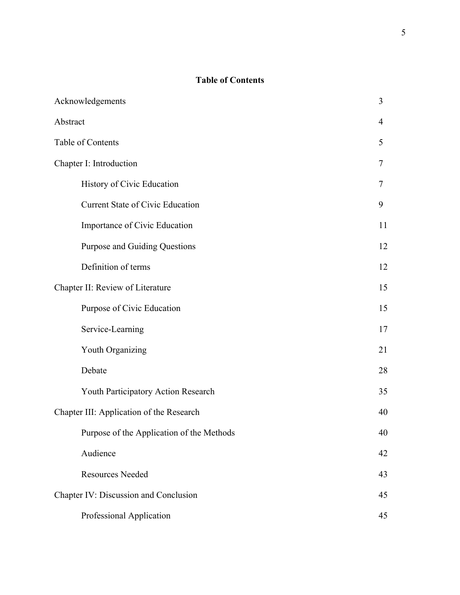## **Table of Contents**

| Acknowledgements                          |    |  |
|-------------------------------------------|----|--|
| Abstract                                  | 4  |  |
| Table of Contents                         |    |  |
| Chapter I: Introduction                   |    |  |
| History of Civic Education                | 7  |  |
| <b>Current State of Civic Education</b>   | 9  |  |
| Importance of Civic Education             | 11 |  |
| <b>Purpose and Guiding Questions</b>      | 12 |  |
| Definition of terms                       | 12 |  |
| Chapter II: Review of Literature          |    |  |
| Purpose of Civic Education                | 15 |  |
| Service-Learning                          | 17 |  |
| Youth Organizing                          | 21 |  |
| Debate                                    | 28 |  |
| Youth Participatory Action Research       | 35 |  |
| Chapter III: Application of the Research  |    |  |
| Purpose of the Application of the Methods | 40 |  |
| Audience                                  | 42 |  |
| <b>Resources Needed</b>                   | 43 |  |
| Chapter IV: Discussion and Conclusion     |    |  |
| Professional Application                  | 45 |  |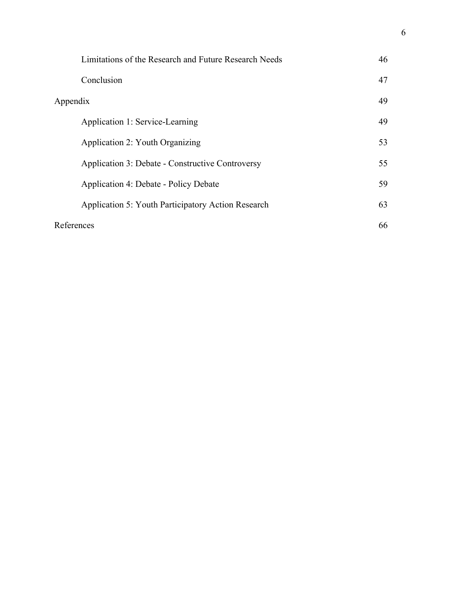|            | Limitations of the Research and Future Research Needs | 46 |
|------------|-------------------------------------------------------|----|
|            | Conclusion                                            | 47 |
| Appendix   |                                                       | 49 |
|            | Application 1: Service-Learning                       | 49 |
|            | Application 2: Youth Organizing                       | 53 |
|            | Application 3: Debate - Constructive Controversy      | 55 |
|            | <b>Application 4: Debate - Policy Debate</b>          | 59 |
|            | Application 5: Youth Participatory Action Research    | 63 |
| References |                                                       | 66 |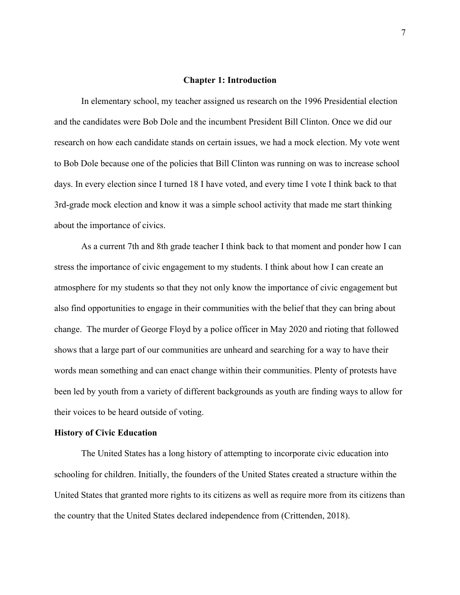#### **Chapter 1: Introduction**

In elementary school, my teacher assigned us research on the 1996 Presidential election and the candidates were Bob Dole and the incumbent President Bill Clinton. Once we did our research on how each candidate stands on certain issues, we had a mock election. My vote went to Bob Dole because one of the policies that Bill Clinton was running on was to increase school days. In every election since I turned 18 I have voted, and every time I vote I think back to that 3rd-grade mock election and know it was a simple school activity that made me start thinking about the importance of civics.

As a current 7th and 8th grade teacher I think back to that moment and ponder how I can stress the importance of civic engagement to my students. I think about how I can create an atmosphere for my students so that they not only know the importance of civic engagement but also find opportunities to engage in their communities with the belief that they can bring about change. The murder of George Floyd by a police officer in May 2020 and rioting that followed shows that a large part of our communities are unheard and searching for a way to have their words mean something and can enact change within their communities. Plenty of protests have been led by youth from a variety of different backgrounds as youth are finding ways to allow for their voices to be heard outside of voting.

#### **History of Civic Education**

The United States has a long history of attempting to incorporate civic education into schooling for children. Initially, the founders of the United States created a structure within the United States that granted more rights to its citizens as well as require more from its citizens than the country that the United States declared independence from (Crittenden, 2018).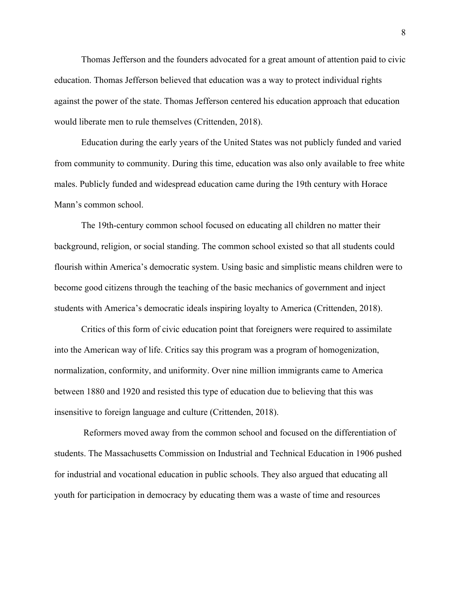Thomas Jefferson and the founders advocated for a great amount of attention paid to civic education. Thomas Jefferson believed that education was a way to protect individual rights against the power of the state. Thomas Jefferson centered his education approach that education would liberate men to rule themselves (Crittenden, 2018).

Education during the early years of the United States was not publicly funded and varied from community to community. During this time, education was also only available to free white males. Publicly funded and widespread education came during the 19th century with Horace Mann's common school.

The 19th-century common school focused on educating all children no matter their background, religion, or social standing. The common school existed so that all students could flourish within America's democratic system. Using basic and simplistic means children were to become good citizens through the teaching of the basic mechanics of government and inject students with America's democratic ideals inspiring loyalty to America (Crittenden, 2018).

Critics of this form of civic education point that foreigners were required to assimilate into the American way of life. Critics say this program was a program of homogenization, normalization, conformity, and uniformity. Over nine million immigrants came to America between 1880 and 1920 and resisted this type of education due to believing that this was insensitive to foreign language and culture (Crittenden, 2018).

 Reformers moved away from the common school and focused on the differentiation of students. The Massachusetts Commission on Industrial and Technical Education in 1906 pushed for industrial and vocational education in public schools. They also argued that educating all youth for participation in democracy by educating them was a waste of time and resources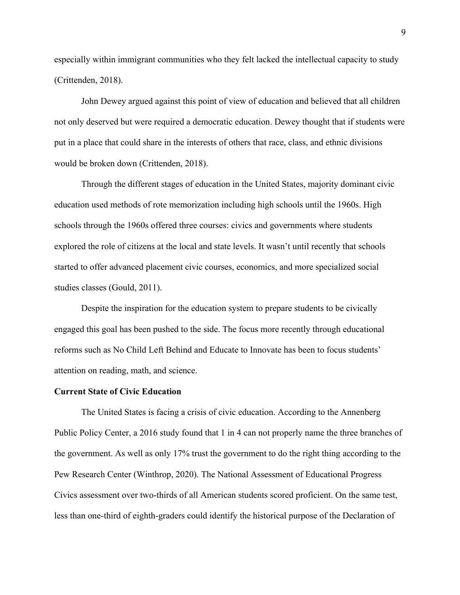especially within immigrant communities who they felt lacked the intellectual capacity to study (Crittenden, 2018).

John Dewey argued against this point of view of education and believed that all children not only deserved but were required a democratic education. Dewey thought that if students were put in a place that could share in the interests of others that race, class, and ethnic divisions would be broken down (Crittenden, 2018).

Through the different stages of education in the United States, majority dominant civic education used methods of rote memorization including high schools until the 1960s. High schools through the 1960s offered three courses: civics and governments where students explored the role of citizens at the local and state levels. It wasn't until recently that schools started to offer advanced placement civic courses, economics, and more specialized social studies classes (Gould, 2011).

Despite the inspiration for the education system to prepare students to be civically engaged this goal has been pushed to the side. The focus more recently through educational reforms such as No Child Left Behind and Educate to Innovate has been to focus students' attention on reading, math, and science.

#### **Current State of Civic Education**

The United States is facing a crisis of civic education. According to the Annenberg Public Policy Center, a 2016 study found that 1 in 4 can not properly name the three branches of the government. As well as only 17% trust the government to do the right thing according to the Pew Research Center (Winthrop, 2020). The National Assessment of Educational Progress Civics assessment over two-thirds of all American students scored proficient. On the same test, less than one-third of eighth-graders could identify the historical purpose of the Declaration of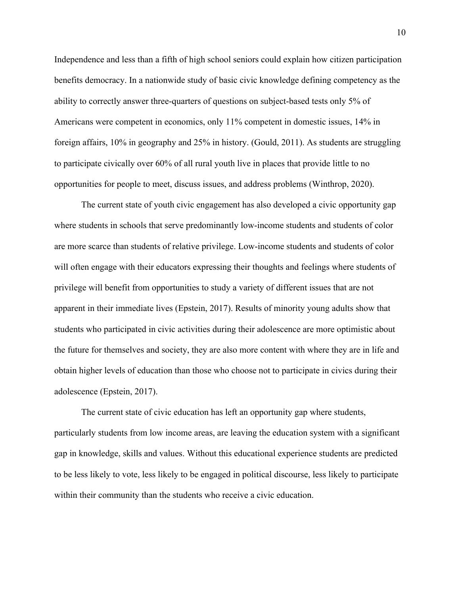Independence and less than a fifth of high school seniors could explain how citizen participation benefits democracy. In a nationwide study of basic civic knowledge defining competency as the ability to correctly answer three-quarters of questions on subject-based tests only 5% of Americans were competent in economics, only 11% competent in domestic issues, 14% in foreign affairs, 10% in geography and 25% in history. (Gould, 2011). As students are struggling to participate civically over 60% of all rural youth live in places that provide little to no opportunities for people to meet, discuss issues, and address problems (Winthrop, 2020).

The current state of youth civic engagement has also developed a civic opportunity gap where students in schools that serve predominantly low-income students and students of color are more scarce than students of relative privilege. Low-income students and students of color will often engage with their educators expressing their thoughts and feelings where students of privilege will benefit from opportunities to study a variety of different issues that are not apparent in their immediate lives (Epstein, 2017). Results of minority young adults show that students who participated in civic activities during their adolescence are more optimistic about the future for themselves and society, they are also more content with where they are in life and obtain higher levels of education than those who choose not to participate in civics during their adolescence (Epstein, 2017).

The current state of civic education has left an opportunity gap where students, particularly students from low income areas, are leaving the education system with a significant gap in knowledge, skills and values. Without this educational experience students are predicted to be less likely to vote, less likely to be engaged in political discourse, less likely to participate within their community than the students who receive a civic education.

10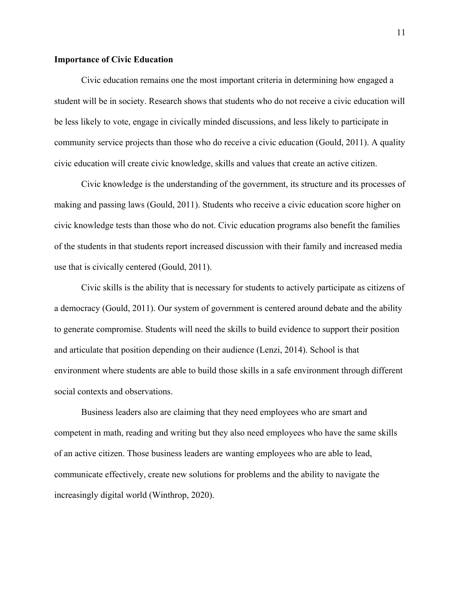## **Importance of Civic Education**

Civic education remains one the most important criteria in determining how engaged a student will be in society. Research shows that students who do not receive a civic education will be less likely to vote, engage in civically minded discussions, and less likely to participate in community service projects than those who do receive a civic education (Gould, 2011). A quality civic education will create civic knowledge, skills and values that create an active citizen.

Civic knowledge is the understanding of the government, its structure and its processes of making and passing laws (Gould, 2011). Students who receive a civic education score higher on civic knowledge tests than those who do not. Civic education programs also benefit the families of the students in that students report increased discussion with their family and increased media use that is civically centered (Gould, 2011).

Civic skills is the ability that is necessary for students to actively participate as citizens of a democracy (Gould, 2011). Our system of government is centered around debate and the ability to generate compromise. Students will need the skills to build evidence to support their position and articulate that position depending on their audience (Lenzi, 2014). School is that environment where students are able to build those skills in a safe environment through different social contexts and observations.

Business leaders also are claiming that they need employees who are smart and competent in math, reading and writing but they also need employees who have the same skills of an active citizen. Those business leaders are wanting employees who are able to lead, communicate effectively, create new solutions for problems and the ability to navigate the increasingly digital world (Winthrop, 2020).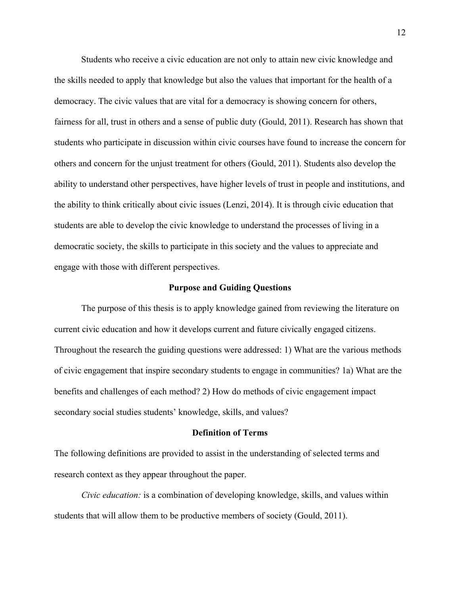Students who receive a civic education are not only to attain new civic knowledge and the skills needed to apply that knowledge but also the values that important for the health of a democracy. The civic values that are vital for a democracy is showing concern for others, fairness for all, trust in others and a sense of public duty (Gould, 2011). Research has shown that students who participate in discussion within civic courses have found to increase the concern for others and concern for the unjust treatment for others (Gould, 2011). Students also develop the ability to understand other perspectives, have higher levels of trust in people and institutions, and the ability to think critically about civic issues (Lenzi, 2014). It is through civic education that students are able to develop the civic knowledge to understand the processes of living in a democratic society, the skills to participate in this society and the values to appreciate and engage with those with different perspectives.

#### **Purpose and Guiding Questions**

The purpose of this thesis is to apply knowledge gained from reviewing the literature on current civic education and how it develops current and future civically engaged citizens. Throughout the research the guiding questions were addressed: 1) What are the various methods of civic engagement that inspire secondary students to engage in communities? 1a) What are the benefits and challenges of each method? 2) How do methods of civic engagement impact secondary social studies students' knowledge, skills, and values?

#### **Definition of Terms**

The following definitions are provided to assist in the understanding of selected terms and research context as they appear throughout the paper.

*Civic education:* is a combination of developing knowledge, skills, and values within students that will allow them to be productive members of society (Gould, 2011).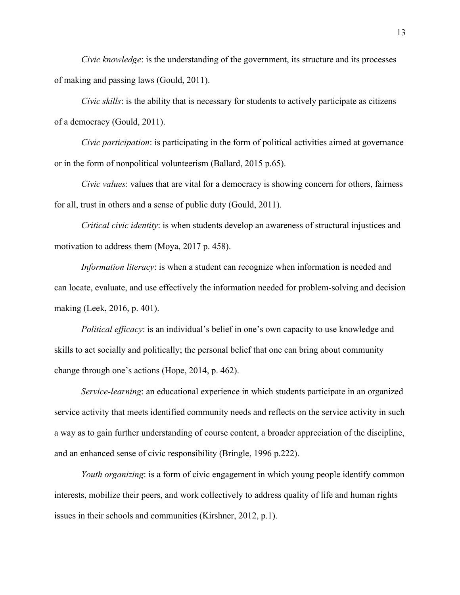*Civic knowledge*: is the understanding of the government, its structure and its processes of making and passing laws (Gould, 2011).

*Civic skills*: is the ability that is necessary for students to actively participate as citizens of a democracy (Gould, 2011).

*Civic participation*: is participating in the form of political activities aimed at governance or in the form of nonpolitical volunteerism (Ballard, 2015 p.65).

*Civic values*: values that are vital for a democracy is showing concern for others, fairness for all, trust in others and a sense of public duty (Gould, 2011).

*Critical civic identity*: is when students develop an awareness of structural injustices and motivation to address them (Moya, 2017 p. 458).

*Information literacy*: is when a student can recognize when information is needed and can locate, evaluate, and use effectively the information needed for problem-solving and decision making (Leek, 2016, p. 401).

*Political efficacy*: is an individual's belief in one's own capacity to use knowledge and skills to act socially and politically; the personal belief that one can bring about community change through one's actions (Hope, 2014, p. 462).

*Service-learning*: an educational experience in which students participate in an organized service activity that meets identified community needs and reflects on the service activity in such a way as to gain further understanding of course content, a broader appreciation of the discipline, and an enhanced sense of civic responsibility (Bringle, 1996 p.222).

*Youth organizing*: is a form of civic engagement in which young people identify common interests, mobilize their peers, and work collectively to address quality of life and human rights issues in their schools and communities (Kirshner, 2012, p.1).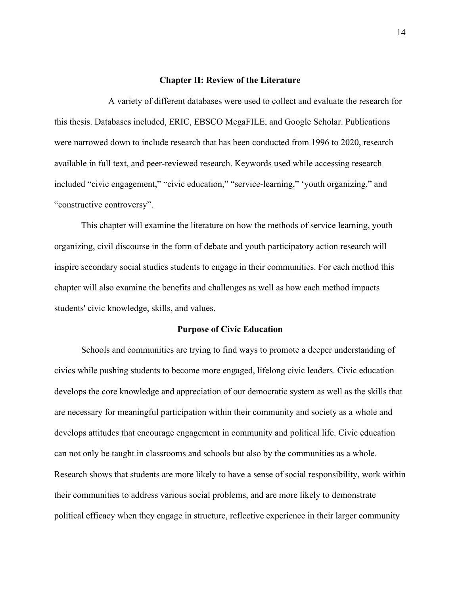#### **Chapter II: Review of the Literature**

A variety of different databases were used to collect and evaluate the research for this thesis. Databases included, ERIC, EBSCO MegaFILE, and Google Scholar. Publications were narrowed down to include research that has been conducted from 1996 to 2020, research available in full text, and peer-reviewed research. Keywords used while accessing research included "civic engagement," "civic education," "service-learning," 'youth organizing," and "constructive controversy".

This chapter will examine the literature on how the methods of service learning, youth organizing, civil discourse in the form of debate and youth participatory action research will inspire secondary social studies students to engage in their communities. For each method this chapter will also examine the benefits and challenges as well as how each method impacts students' civic knowledge, skills, and values.

#### **Purpose of Civic Education**

Schools and communities are trying to find ways to promote a deeper understanding of civics while pushing students to become more engaged, lifelong civic leaders. Civic education develops the core knowledge and appreciation of our democratic system as well as the skills that are necessary for meaningful participation within their community and society as a whole and develops attitudes that encourage engagement in community and political life. Civic education can not only be taught in classrooms and schools but also by the communities as a whole. Research shows that students are more likely to have a sense of social responsibility, work within their communities to address various social problems, and are more likely to demonstrate political efficacy when they engage in structure, reflective experience in their larger community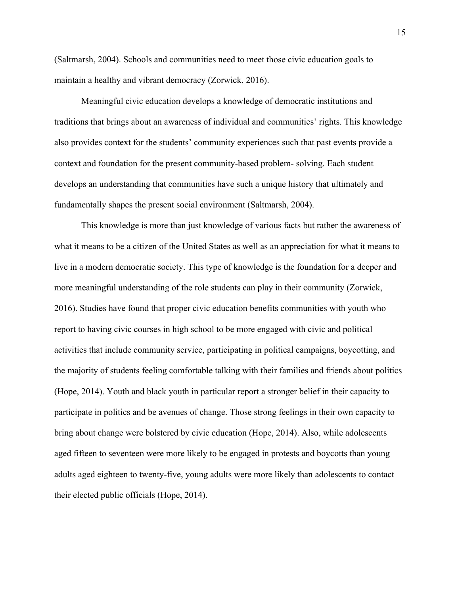(Saltmarsh, 2004). Schools and communities need to meet those civic education goals to maintain a healthy and vibrant democracy (Zorwick, 2016).

Meaningful civic education develops a knowledge of democratic institutions and traditions that brings about an awareness of individual and communities' rights. This knowledge also provides context for the students' community experiences such that past events provide a context and foundation for the present community-based problem- solving. Each student develops an understanding that communities have such a unique history that ultimately and fundamentally shapes the present social environment (Saltmarsh, 2004).

This knowledge is more than just knowledge of various facts but rather the awareness of what it means to be a citizen of the United States as well as an appreciation for what it means to live in a modern democratic society. This type of knowledge is the foundation for a deeper and more meaningful understanding of the role students can play in their community (Zorwick, 2016). Studies have found that proper civic education benefits communities with youth who report to having civic courses in high school to be more engaged with civic and political activities that include community service, participating in political campaigns, boycotting, and the majority of students feeling comfortable talking with their families and friends about politics (Hope, 2014). Youth and black youth in particular report a stronger belief in their capacity to participate in politics and be avenues of change. Those strong feelings in their own capacity to bring about change were bolstered by civic education (Hope, 2014). Also, while adolescents aged fifteen to seventeen were more likely to be engaged in protests and boycotts than young adults aged eighteen to twenty-five, young adults were more likely than adolescents to contact their elected public officials (Hope, 2014).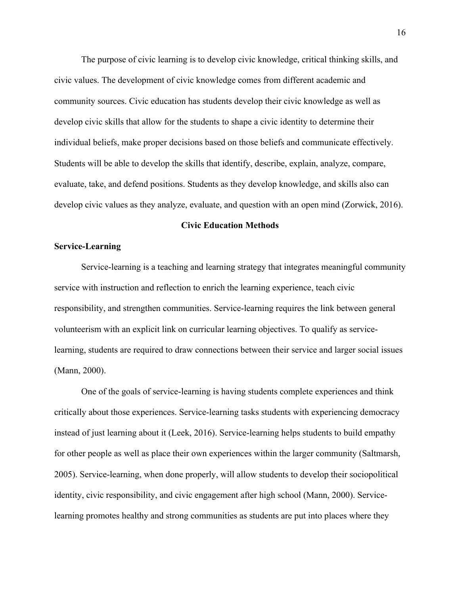The purpose of civic learning is to develop civic knowledge, critical thinking skills, and civic values. The development of civic knowledge comes from different academic and community sources. Civic education has students develop their civic knowledge as well as develop civic skills that allow for the students to shape a civic identity to determine their individual beliefs, make proper decisions based on those beliefs and communicate effectively. Students will be able to develop the skills that identify, describe, explain, analyze, compare, evaluate, take, and defend positions. Students as they develop knowledge, and skills also can develop civic values as they analyze, evaluate, and question with an open mind (Zorwick, 2016).

#### **Civic Education Methods**

## **Service-Learning**

Service-learning is a teaching and learning strategy that integrates meaningful community service with instruction and reflection to enrich the learning experience, teach civic responsibility, and strengthen communities. Service-learning requires the link between general volunteerism with an explicit link on curricular learning objectives. To qualify as servicelearning, students are required to draw connections between their service and larger social issues (Mann, 2000).

One of the goals of service-learning is having students complete experiences and think critically about those experiences. Service-learning tasks students with experiencing democracy instead of just learning about it (Leek, 2016). Service-learning helps students to build empathy for other people as well as place their own experiences within the larger community (Saltmarsh, 2005). Service-learning, when done properly, will allow students to develop their sociopolitical identity, civic responsibility, and civic engagement after high school (Mann, 2000). Servicelearning promotes healthy and strong communities as students are put into places where they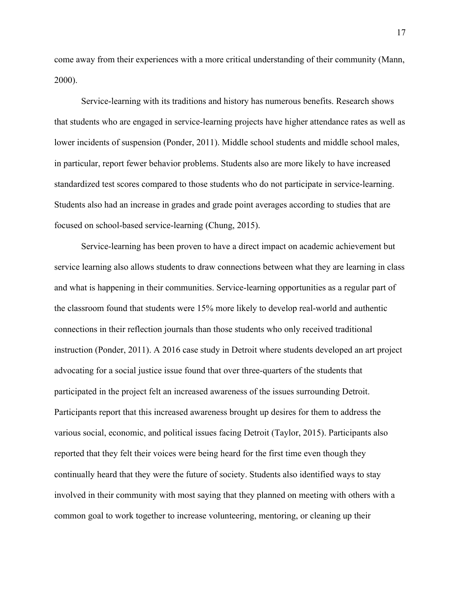come away from their experiences with a more critical understanding of their community (Mann, 2000).

Service-learning with its traditions and history has numerous benefits. Research shows that students who are engaged in service-learning projects have higher attendance rates as well as lower incidents of suspension (Ponder, 2011). Middle school students and middle school males, in particular, report fewer behavior problems. Students also are more likely to have increased standardized test scores compared to those students who do not participate in service-learning. Students also had an increase in grades and grade point averages according to studies that are focused on school-based service-learning (Chung, 2015).

Service-learning has been proven to have a direct impact on academic achievement but service learning also allows students to draw connections between what they are learning in class and what is happening in their communities. Service-learning opportunities as a regular part of the classroom found that students were 15% more likely to develop real-world and authentic connections in their reflection journals than those students who only received traditional instruction (Ponder, 2011). A 2016 case study in Detroit where students developed an art project advocating for a social justice issue found that over three-quarters of the students that participated in the project felt an increased awareness of the issues surrounding Detroit. Participants report that this increased awareness brought up desires for them to address the various social, economic, and political issues facing Detroit (Taylor, 2015). Participants also reported that they felt their voices were being heard for the first time even though they continually heard that they were the future of society. Students also identified ways to stay involved in their community with most saying that they planned on meeting with others with a common goal to work together to increase volunteering, mentoring, or cleaning up their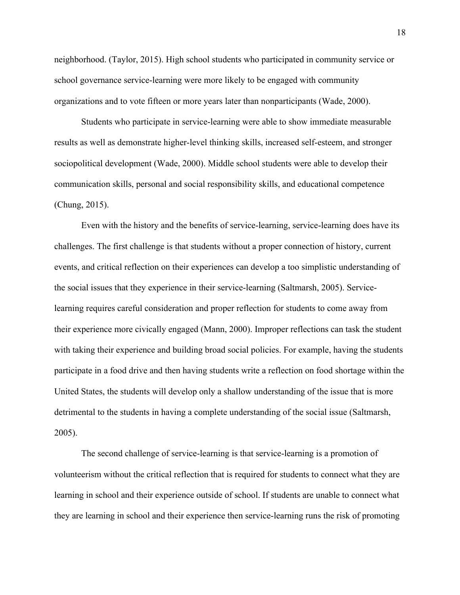neighborhood. (Taylor, 2015). High school students who participated in community service or school governance service-learning were more likely to be engaged with community organizations and to vote fifteen or more years later than nonparticipants (Wade, 2000).

Students who participate in service-learning were able to show immediate measurable results as well as demonstrate higher-level thinking skills, increased self-esteem, and stronger sociopolitical development (Wade, 2000). Middle school students were able to develop their communication skills, personal and social responsibility skills, and educational competence (Chung, 2015).

Even with the history and the benefits of service-learning, service-learning does have its challenges. The first challenge is that students without a proper connection of history, current events, and critical reflection on their experiences can develop a too simplistic understanding of the social issues that they experience in their service-learning (Saltmarsh, 2005). Servicelearning requires careful consideration and proper reflection for students to come away from their experience more civically engaged (Mann, 2000). Improper reflections can task the student with taking their experience and building broad social policies. For example, having the students participate in a food drive and then having students write a reflection on food shortage within the United States, the students will develop only a shallow understanding of the issue that is more detrimental to the students in having a complete understanding of the social issue (Saltmarsh, 2005).

The second challenge of service-learning is that service-learning is a promotion of volunteerism without the critical reflection that is required for students to connect what they are learning in school and their experience outside of school. If students are unable to connect what they are learning in school and their experience then service-learning runs the risk of promoting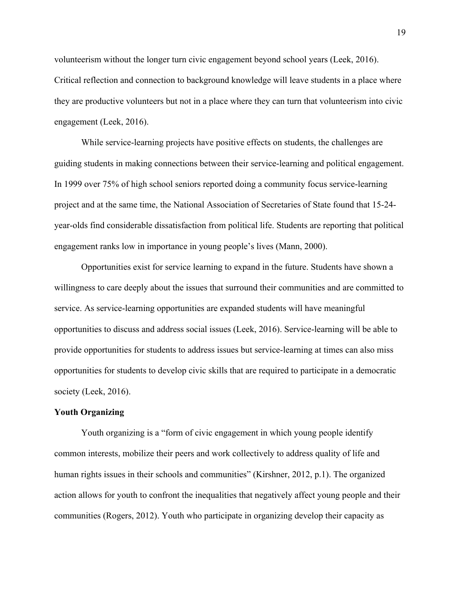volunteerism without the longer turn civic engagement beyond school years (Leek, 2016). Critical reflection and connection to background knowledge will leave students in a place where they are productive volunteers but not in a place where they can turn that volunteerism into civic engagement (Leek, 2016).

While service-learning projects have positive effects on students, the challenges are guiding students in making connections between their service-learning and political engagement. In 1999 over 75% of high school seniors reported doing a community focus service-learning project and at the same time, the National Association of Secretaries of State found that 15-24 year-olds find considerable dissatisfaction from political life. Students are reporting that political engagement ranks low in importance in young people's lives (Mann, 2000).

Opportunities exist for service learning to expand in the future. Students have shown a willingness to care deeply about the issues that surround their communities and are committed to service. As service-learning opportunities are expanded students will have meaningful opportunities to discuss and address social issues (Leek, 2016). Service-learning will be able to provide opportunities for students to address issues but service-learning at times can also miss opportunities for students to develop civic skills that are required to participate in a democratic society (Leek, 2016).

## **Youth Organizing**

Youth organizing is a "form of civic engagement in which young people identify common interests, mobilize their peers and work collectively to address quality of life and human rights issues in their schools and communities" (Kirshner, 2012, p.1). The organized action allows for youth to confront the inequalities that negatively affect young people and their communities (Rogers, 2012). Youth who participate in organizing develop their capacity as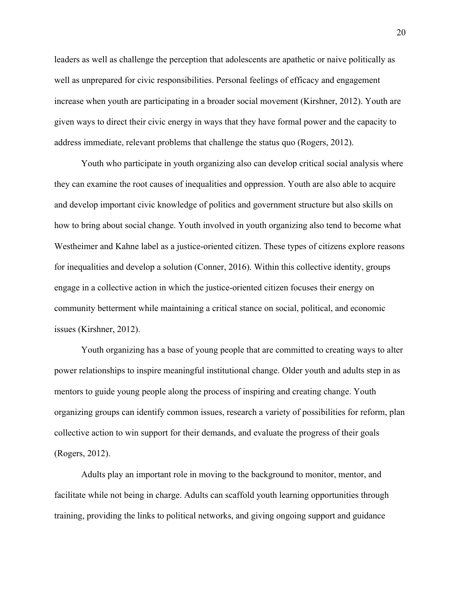leaders as well as challenge the perception that adolescents are apathetic or naive politically as well as unprepared for civic responsibilities. Personal feelings of efficacy and engagement increase when youth are participating in a broader social movement (Kirshner, 2012). Youth are given ways to direct their civic energy in ways that they have formal power and the capacity to address immediate, relevant problems that challenge the status quo (Rogers, 2012).

Youth who participate in youth organizing also can develop critical social analysis where they can examine the root causes of inequalities and oppression. Youth are also able to acquire and develop important civic knowledge of politics and government structure but also skills on how to bring about social change. Youth involved in youth organizing also tend to become what Westheimer and Kahne label as a justice-oriented citizen. These types of citizens explore reasons for inequalities and develop a solution (Conner, 2016). Within this collective identity, groups engage in a collective action in which the justice-oriented citizen focuses their energy on community betterment while maintaining a critical stance on social, political, and economic issues (Kirshner, 2012).

Youth organizing has a base of young people that are committed to creating ways to alter power relationships to inspire meaningful institutional change. Older youth and adults step in as mentors to guide young people along the process of inspiring and creating change. Youth organizing groups can identify common issues, research a variety of possibilities for reform, plan collective action to win support for their demands, and evaluate the progress of their goals (Rogers, 2012).

Adults play an important role in moving to the background to monitor, mentor, and facilitate while not being in charge. Adults can scaffold youth learning opportunities through training, providing the links to political networks, and giving ongoing support and guidance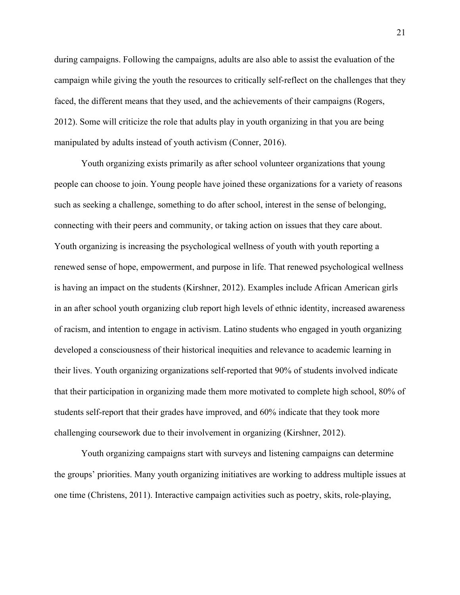during campaigns. Following the campaigns, adults are also able to assist the evaluation of the campaign while giving the youth the resources to critically self-reflect on the challenges that they faced, the different means that they used, and the achievements of their campaigns (Rogers, 2012). Some will criticize the role that adults play in youth organizing in that you are being manipulated by adults instead of youth activism (Conner, 2016).

Youth organizing exists primarily as after school volunteer organizations that young people can choose to join. Young people have joined these organizations for a variety of reasons such as seeking a challenge, something to do after school, interest in the sense of belonging, connecting with their peers and community, or taking action on issues that they care about. Youth organizing is increasing the psychological wellness of youth with youth reporting a renewed sense of hope, empowerment, and purpose in life. That renewed psychological wellness is having an impact on the students (Kirshner, 2012). Examples include African American girls in an after school youth organizing club report high levels of ethnic identity, increased awareness of racism, and intention to engage in activism. Latino students who engaged in youth organizing developed a consciousness of their historical inequities and relevance to academic learning in their lives. Youth organizing organizations self-reported that 90% of students involved indicate that their participation in organizing made them more motivated to complete high school, 80% of students self-report that their grades have improved, and 60% indicate that they took more challenging coursework due to their involvement in organizing (Kirshner, 2012).

Youth organizing campaigns start with surveys and listening campaigns can determine the groups' priorities. Many youth organizing initiatives are working to address multiple issues at one time (Christens, 2011). Interactive campaign activities such as poetry, skits, role-playing,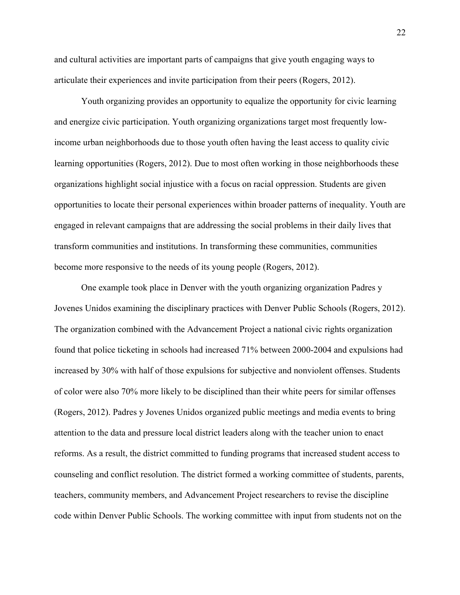and cultural activities are important parts of campaigns that give youth engaging ways to articulate their experiences and invite participation from their peers (Rogers, 2012).

Youth organizing provides an opportunity to equalize the opportunity for civic learning and energize civic participation. Youth organizing organizations target most frequently lowincome urban neighborhoods due to those youth often having the least access to quality civic learning opportunities (Rogers, 2012). Due to most often working in those neighborhoods these organizations highlight social injustice with a focus on racial oppression. Students are given opportunities to locate their personal experiences within broader patterns of inequality. Youth are engaged in relevant campaigns that are addressing the social problems in their daily lives that transform communities and institutions. In transforming these communities, communities become more responsive to the needs of its young people (Rogers, 2012).

One example took place in Denver with the youth organizing organization Padres y Jovenes Unidos examining the disciplinary practices with Denver Public Schools (Rogers, 2012). The organization combined with the Advancement Project a national civic rights organization found that police ticketing in schools had increased 71% between 2000-2004 and expulsions had increased by 30% with half of those expulsions for subjective and nonviolent offenses. Students of color were also 70% more likely to be disciplined than their white peers for similar offenses (Rogers, 2012). Padres y Jovenes Unidos organized public meetings and media events to bring attention to the data and pressure local district leaders along with the teacher union to enact reforms. As a result, the district committed to funding programs that increased student access to counseling and conflict resolution. The district formed a working committee of students, parents, teachers, community members, and Advancement Project researchers to revise the discipline code within Denver Public Schools. The working committee with input from students not on the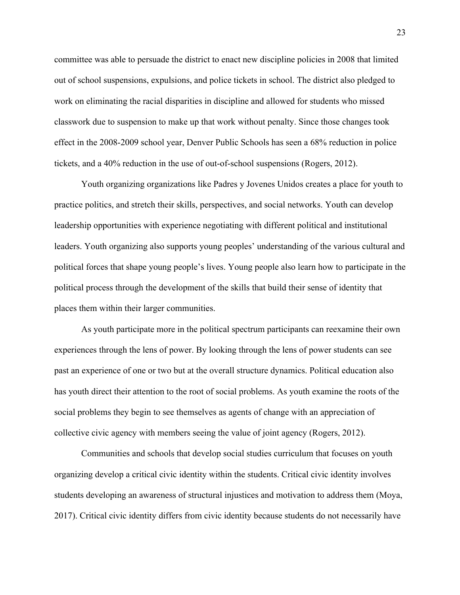committee was able to persuade the district to enact new discipline policies in 2008 that limited out of school suspensions, expulsions, and police tickets in school. The district also pledged to work on eliminating the racial disparities in discipline and allowed for students who missed classwork due to suspension to make up that work without penalty. Since those changes took effect in the 2008-2009 school year, Denver Public Schools has seen a 68% reduction in police tickets, and a 40% reduction in the use of out-of-school suspensions (Rogers, 2012).

Youth organizing organizations like Padres y Jovenes Unidos creates a place for youth to practice politics, and stretch their skills, perspectives, and social networks. Youth can develop leadership opportunities with experience negotiating with different political and institutional leaders. Youth organizing also supports young peoples' understanding of the various cultural and political forces that shape young people's lives. Young people also learn how to participate in the political process through the development of the skills that build their sense of identity that places them within their larger communities.

As youth participate more in the political spectrum participants can reexamine their own experiences through the lens of power. By looking through the lens of power students can see past an experience of one or two but at the overall structure dynamics. Political education also has youth direct their attention to the root of social problems. As youth examine the roots of the social problems they begin to see themselves as agents of change with an appreciation of collective civic agency with members seeing the value of joint agency (Rogers, 2012).

Communities and schools that develop social studies curriculum that focuses on youth organizing develop a critical civic identity within the students. Critical civic identity involves students developing an awareness of structural injustices and motivation to address them (Moya, 2017). Critical civic identity differs from civic identity because students do not necessarily have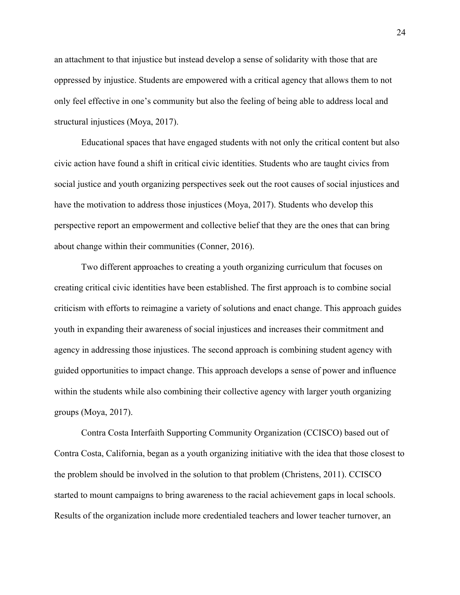an attachment to that injustice but instead develop a sense of solidarity with those that are oppressed by injustice. Students are empowered with a critical agency that allows them to not only feel effective in one's community but also the feeling of being able to address local and structural injustices (Moya, 2017).

Educational spaces that have engaged students with not only the critical content but also civic action have found a shift in critical civic identities. Students who are taught civics from social justice and youth organizing perspectives seek out the root causes of social injustices and have the motivation to address those injustices (Moya, 2017). Students who develop this perspective report an empowerment and collective belief that they are the ones that can bring about change within their communities (Conner, 2016).

Two different approaches to creating a youth organizing curriculum that focuses on creating critical civic identities have been established. The first approach is to combine social criticism with efforts to reimagine a variety of solutions and enact change. This approach guides youth in expanding their awareness of social injustices and increases their commitment and agency in addressing those injustices. The second approach is combining student agency with guided opportunities to impact change. This approach develops a sense of power and influence within the students while also combining their collective agency with larger youth organizing groups (Moya, 2017).

Contra Costa Interfaith Supporting Community Organization (CCISCO) based out of Contra Costa, California, began as a youth organizing initiative with the idea that those closest to the problem should be involved in the solution to that problem (Christens, 2011). CCISCO started to mount campaigns to bring awareness to the racial achievement gaps in local schools. Results of the organization include more credentialed teachers and lower teacher turnover, an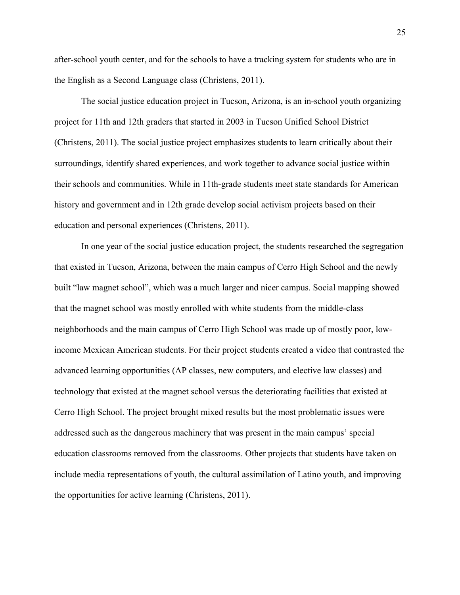after-school youth center, and for the schools to have a tracking system for students who are in the English as a Second Language class (Christens, 2011).

The social justice education project in Tucson, Arizona, is an in-school youth organizing project for 11th and 12th graders that started in 2003 in Tucson Unified School District (Christens, 2011). The social justice project emphasizes students to learn critically about their surroundings, identify shared experiences, and work together to advance social justice within their schools and communities. While in 11th-grade students meet state standards for American history and government and in 12th grade develop social activism projects based on their education and personal experiences (Christens, 2011).

In one year of the social justice education project, the students researched the segregation that existed in Tucson, Arizona, between the main campus of Cerro High School and the newly built "law magnet school", which was a much larger and nicer campus. Social mapping showed that the magnet school was mostly enrolled with white students from the middle-class neighborhoods and the main campus of Cerro High School was made up of mostly poor, lowincome Mexican American students. For their project students created a video that contrasted the advanced learning opportunities (AP classes, new computers, and elective law classes) and technology that existed at the magnet school versus the deteriorating facilities that existed at Cerro High School. The project brought mixed results but the most problematic issues were addressed such as the dangerous machinery that was present in the main campus' special education classrooms removed from the classrooms. Other projects that students have taken on include media representations of youth, the cultural assimilation of Latino youth, and improving the opportunities for active learning (Christens, 2011).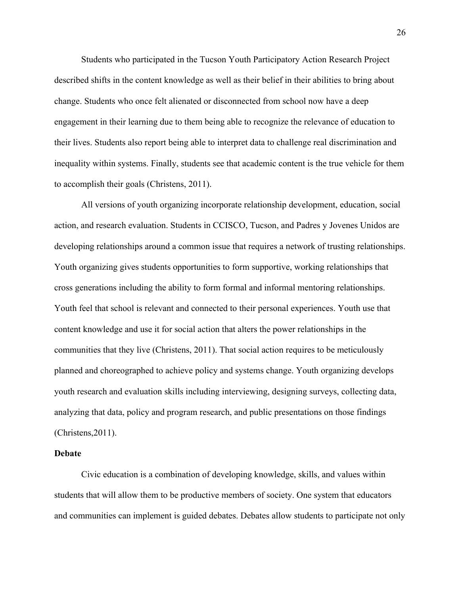Students who participated in the Tucson Youth Participatory Action Research Project described shifts in the content knowledge as well as their belief in their abilities to bring about change. Students who once felt alienated or disconnected from school now have a deep engagement in their learning due to them being able to recognize the relevance of education to their lives. Students also report being able to interpret data to challenge real discrimination and inequality within systems. Finally, students see that academic content is the true vehicle for them to accomplish their goals (Christens, 2011).

All versions of youth organizing incorporate relationship development, education, social action, and research evaluation. Students in CCISCO, Tucson, and Padres y Jovenes Unidos are developing relationships around a common issue that requires a network of trusting relationships. Youth organizing gives students opportunities to form supportive, working relationships that cross generations including the ability to form formal and informal mentoring relationships. Youth feel that school is relevant and connected to their personal experiences. Youth use that content knowledge and use it for social action that alters the power relationships in the communities that they live (Christens, 2011). That social action requires to be meticulously planned and choreographed to achieve policy and systems change. Youth organizing develops youth research and evaluation skills including interviewing, designing surveys, collecting data, analyzing that data, policy and program research, and public presentations on those findings (Christens,2011).

#### **Debate**

Civic education is a combination of developing knowledge, skills, and values within students that will allow them to be productive members of society. One system that educators and communities can implement is guided debates. Debates allow students to participate not only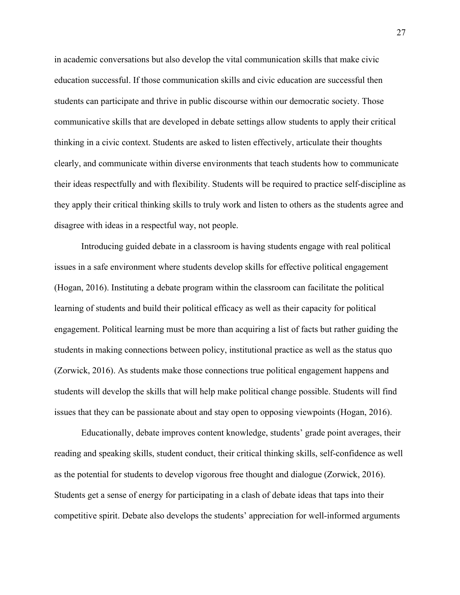in academic conversations but also develop the vital communication skills that make civic education successful. If those communication skills and civic education are successful then students can participate and thrive in public discourse within our democratic society. Those communicative skills that are developed in debate settings allow students to apply their critical thinking in a civic context. Students are asked to listen effectively, articulate their thoughts clearly, and communicate within diverse environments that teach students how to communicate their ideas respectfully and with flexibility. Students will be required to practice self-discipline as they apply their critical thinking skills to truly work and listen to others as the students agree and disagree with ideas in a respectful way, not people.

Introducing guided debate in a classroom is having students engage with real political issues in a safe environment where students develop skills for effective political engagement (Hogan, 2016). Instituting a debate program within the classroom can facilitate the political learning of students and build their political efficacy as well as their capacity for political engagement. Political learning must be more than acquiring a list of facts but rather guiding the students in making connections between policy, institutional practice as well as the status quo (Zorwick, 2016). As students make those connections true political engagement happens and students will develop the skills that will help make political change possible. Students will find issues that they can be passionate about and stay open to opposing viewpoints (Hogan, 2016).

Educationally, debate improves content knowledge, students' grade point averages, their reading and speaking skills, student conduct, their critical thinking skills, self-confidence as well as the potential for students to develop vigorous free thought and dialogue (Zorwick, 2016). Students get a sense of energy for participating in a clash of debate ideas that taps into their competitive spirit. Debate also develops the students' appreciation for well-informed arguments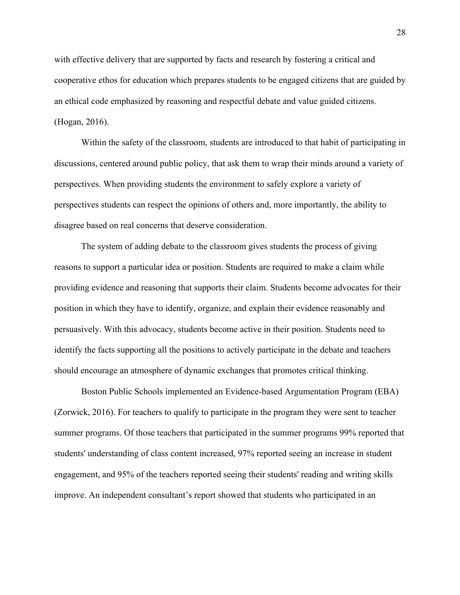with effective delivery that are supported by facts and research by fostering a critical and cooperative ethos for education which prepares students to be engaged citizens that are guided by an ethical code emphasized by reasoning and respectful debate and value guided citizens. (Hogan, 2016).

Within the safety of the classroom, students are introduced to that habit of participating in discussions, centered around public policy, that ask them to wrap their minds around a variety of perspectives. When providing students the environment to safely explore a variety of perspectives students can respect the opinions of others and, more importantly, the ability to disagree based on real concerns that deserve consideration.

The system of adding debate to the classroom gives students the process of giving reasons to support a particular idea or position. Students are required to make a claim while providing evidence and reasoning that supports their claim. Students become advocates for their position in which they have to identify, organize, and explain their evidence reasonably and persuasively. With this advocacy, students become active in their position. Students need to identify the facts supporting all the positions to actively participate in the debate and teachers should encourage an atmosphere of dynamic exchanges that promotes critical thinking.

Boston Public Schools implemented an Evidence-based Argumentation Program (EBA) (Zorwick, 2016). For teachers to qualify to participate in the program they were sent to teacher summer programs. Of those teachers that participated in the summer programs 99% reported that students' understanding of class content increased, 97% reported seeing an increase in student engagement, and 95% of the teachers reported seeing their students' reading and writing skills improve. An independent consultant's report showed that students who participated in an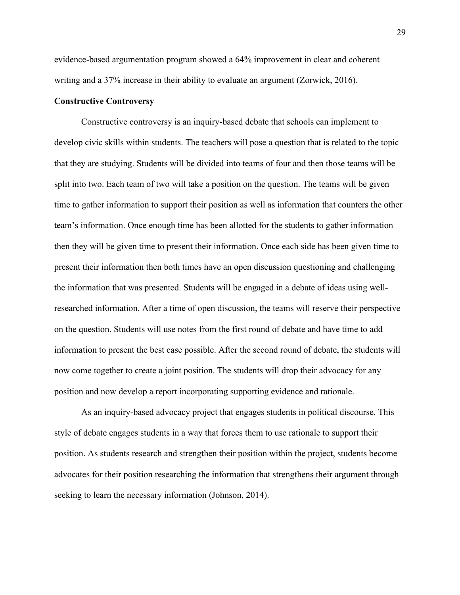evidence-based argumentation program showed a 64% improvement in clear and coherent writing and a 37% increase in their ability to evaluate an argument (Zorwick, 2016).

#### **Constructive Controversy**

Constructive controversy is an inquiry-based debate that schools can implement to develop civic skills within students. The teachers will pose a question that is related to the topic that they are studying. Students will be divided into teams of four and then those teams will be split into two. Each team of two will take a position on the question. The teams will be given time to gather information to support their position as well as information that counters the other team's information. Once enough time has been allotted for the students to gather information then they will be given time to present their information. Once each side has been given time to present their information then both times have an open discussion questioning and challenging the information that was presented. Students will be engaged in a debate of ideas using wellresearched information. After a time of open discussion, the teams will reserve their perspective on the question. Students will use notes from the first round of debate and have time to add information to present the best case possible. After the second round of debate, the students will now come together to create a joint position. The students will drop their advocacy for any position and now develop a report incorporating supporting evidence and rationale.

As an inquiry-based advocacy project that engages students in political discourse. This style of debate engages students in a way that forces them to use rationale to support their position. As students research and strengthen their position within the project, students become advocates for their position researching the information that strengthens their argument through seeking to learn the necessary information (Johnson, 2014).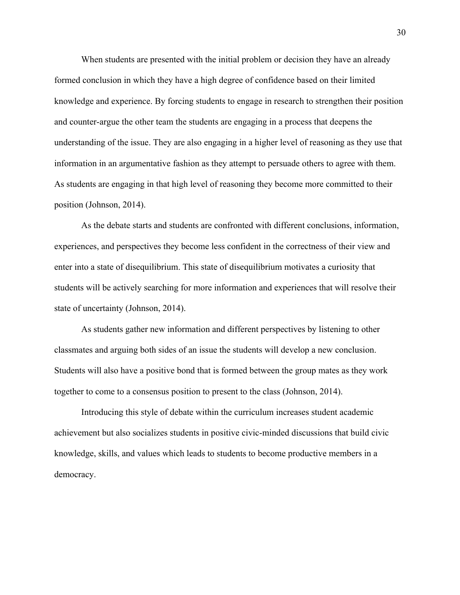When students are presented with the initial problem or decision they have an already formed conclusion in which they have a high degree of confidence based on their limited knowledge and experience. By forcing students to engage in research to strengthen their position and counter-argue the other team the students are engaging in a process that deepens the understanding of the issue. They are also engaging in a higher level of reasoning as they use that information in an argumentative fashion as they attempt to persuade others to agree with them. As students are engaging in that high level of reasoning they become more committed to their position (Johnson, 2014).

As the debate starts and students are confronted with different conclusions, information, experiences, and perspectives they become less confident in the correctness of their view and enter into a state of disequilibrium. This state of disequilibrium motivates a curiosity that students will be actively searching for more information and experiences that will resolve their state of uncertainty (Johnson, 2014).

As students gather new information and different perspectives by listening to other classmates and arguing both sides of an issue the students will develop a new conclusion. Students will also have a positive bond that is formed between the group mates as they work together to come to a consensus position to present to the class (Johnson, 2014).

Introducing this style of debate within the curriculum increases student academic achievement but also socializes students in positive civic-minded discussions that build civic knowledge, skills, and values which leads to students to become productive members in a democracy.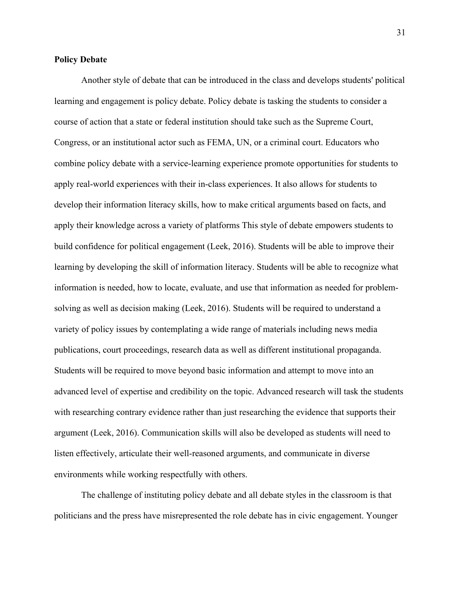#### **Policy Debate**

Another style of debate that can be introduced in the class and develops students' political learning and engagement is policy debate. Policy debate is tasking the students to consider a course of action that a state or federal institution should take such as the Supreme Court, Congress, or an institutional actor such as FEMA, UN, or a criminal court. Educators who combine policy debate with a service-learning experience promote opportunities for students to apply real-world experiences with their in-class experiences. It also allows for students to develop their information literacy skills, how to make critical arguments based on facts, and apply their knowledge across a variety of platforms This style of debate empowers students to build confidence for political engagement (Leek, 2016). Students will be able to improve their learning by developing the skill of information literacy. Students will be able to recognize what information is needed, how to locate, evaluate, and use that information as needed for problemsolving as well as decision making (Leek, 2016). Students will be required to understand a variety of policy issues by contemplating a wide range of materials including news media publications, court proceedings, research data as well as different institutional propaganda. Students will be required to move beyond basic information and attempt to move into an advanced level of expertise and credibility on the topic. Advanced research will task the students with researching contrary evidence rather than just researching the evidence that supports their argument (Leek, 2016). Communication skills will also be developed as students will need to listen effectively, articulate their well-reasoned arguments, and communicate in diverse environments while working respectfully with others.

The challenge of instituting policy debate and all debate styles in the classroom is that politicians and the press have misrepresented the role debate has in civic engagement. Younger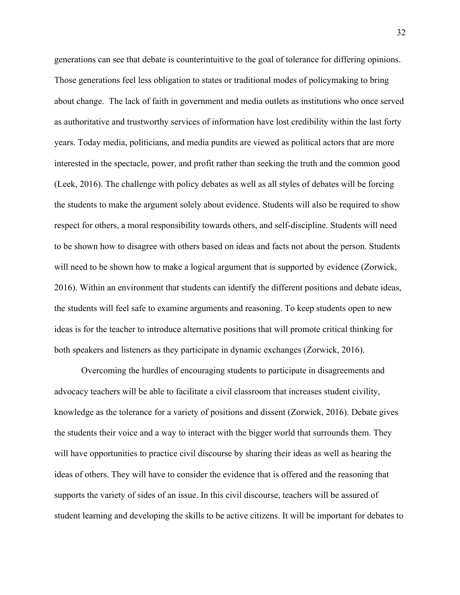generations can see that debate is counterintuitive to the goal of tolerance for differing opinions. Those generations feel less obligation to states or traditional modes of policymaking to bring about change. The lack of faith in government and media outlets as institutions who once served as authoritative and trustworthy services of information have lost credibility within the last forty years. Today media, politicians, and media pundits are viewed as political actors that are more interested in the spectacle, power, and profit rather than seeking the truth and the common good (Leek, 2016). The challenge with policy debates as well as all styles of debates will be forcing the students to make the argument solely about evidence. Students will also be required to show respect for others, a moral responsibility towards others, and self-discipline. Students will need to be shown how to disagree with others based on ideas and facts not about the person. Students will need to be shown how to make a logical argument that is supported by evidence (Zorwick, 2016). Within an environment that students can identify the different positions and debate ideas, the students will feel safe to examine arguments and reasoning. To keep students open to new ideas is for the teacher to introduce alternative positions that will promote critical thinking for both speakers and listeners as they participate in dynamic exchanges (Zorwick, 2016).

Overcoming the hurdles of encouraging students to participate in disagreements and advocacy teachers will be able to facilitate a civil classroom that increases student civility, knowledge as the tolerance for a variety of positions and dissent (Zorwick, 2016). Debate gives the students their voice and a way to interact with the bigger world that surrounds them. They will have opportunities to practice civil discourse by sharing their ideas as well as hearing the ideas of others. They will have to consider the evidence that is offered and the reasoning that supports the variety of sides of an issue. In this civil discourse, teachers will be assured of student learning and developing the skills to be active citizens. It will be important for debates to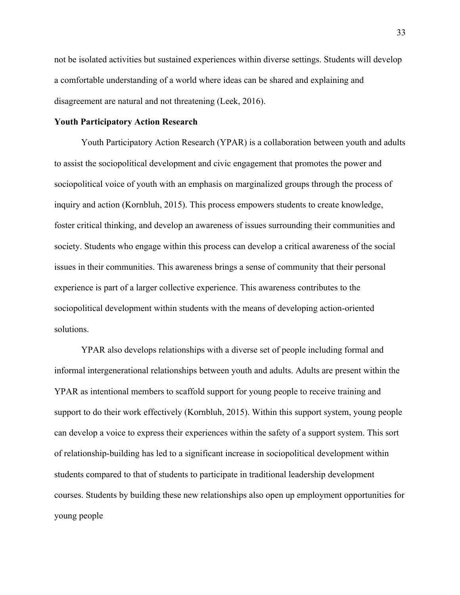not be isolated activities but sustained experiences within diverse settings. Students will develop a comfortable understanding of a world where ideas can be shared and explaining and disagreement are natural and not threatening (Leek, 2016).

#### **Youth Participatory Action Research**

Youth Participatory Action Research (YPAR) is a collaboration between youth and adults to assist the sociopolitical development and civic engagement that promotes the power and sociopolitical voice of youth with an emphasis on marginalized groups through the process of inquiry and action (Kornbluh, 2015). This process empowers students to create knowledge, foster critical thinking, and develop an awareness of issues surrounding their communities and society. Students who engage within this process can develop a critical awareness of the social issues in their communities. This awareness brings a sense of community that their personal experience is part of a larger collective experience. This awareness contributes to the sociopolitical development within students with the means of developing action-oriented solutions.

YPAR also develops relationships with a diverse set of people including formal and informal intergenerational relationships between youth and adults. Adults are present within the YPAR as intentional members to scaffold support for young people to receive training and support to do their work effectively (Kornbluh, 2015). Within this support system, young people can develop a voice to express their experiences within the safety of a support system. This sort of relationship-building has led to a significant increase in sociopolitical development within students compared to that of students to participate in traditional leadership development courses. Students by building these new relationships also open up employment opportunities for young people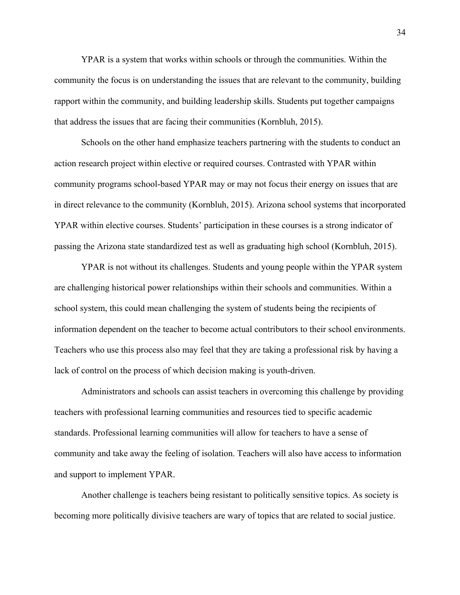YPAR is a system that works within schools or through the communities. Within the community the focus is on understanding the issues that are relevant to the community, building rapport within the community, and building leadership skills. Students put together campaigns that address the issues that are facing their communities (Kornbluh, 2015).

Schools on the other hand emphasize teachers partnering with the students to conduct an action research project within elective or required courses. Contrasted with YPAR within community programs school-based YPAR may or may not focus their energy on issues that are in direct relevance to the community (Kornbluh, 2015). Arizona school systems that incorporated YPAR within elective courses. Students' participation in these courses is a strong indicator of passing the Arizona state standardized test as well as graduating high school (Kornbluh, 2015).

YPAR is not without its challenges. Students and young people within the YPAR system are challenging historical power relationships within their schools and communities. Within a school system, this could mean challenging the system of students being the recipients of information dependent on the teacher to become actual contributors to their school environments. Teachers who use this process also may feel that they are taking a professional risk by having a lack of control on the process of which decision making is youth-driven.

Administrators and schools can assist teachers in overcoming this challenge by providing teachers with professional learning communities and resources tied to specific academic standards. Professional learning communities will allow for teachers to have a sense of community and take away the feeling of isolation. Teachers will also have access to information and support to implement YPAR.

Another challenge is teachers being resistant to politically sensitive topics. As society is becoming more politically divisive teachers are wary of topics that are related to social justice.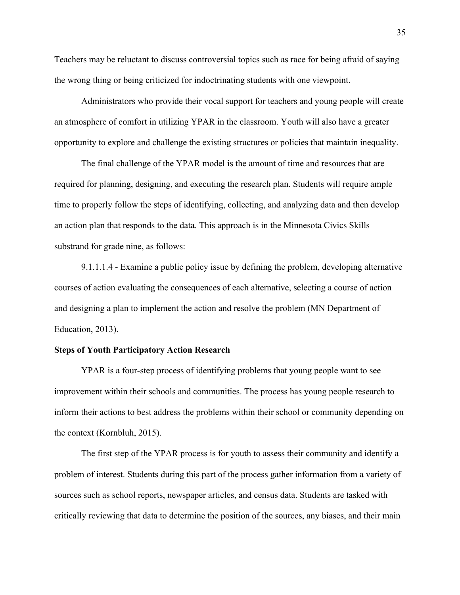Teachers may be reluctant to discuss controversial topics such as race for being afraid of saying the wrong thing or being criticized for indoctrinating students with one viewpoint.

Administrators who provide their vocal support for teachers and young people will create an atmosphere of comfort in utilizing YPAR in the classroom. Youth will also have a greater opportunity to explore and challenge the existing structures or policies that maintain inequality.

The final challenge of the YPAR model is the amount of time and resources that are required for planning, designing, and executing the research plan. Students will require ample time to properly follow the steps of identifying, collecting, and analyzing data and then develop an action plan that responds to the data. This approach is in the Minnesota Civics Skills substrand for grade nine, as follows:

9.1.1.1.4 - Examine a public policy issue by defining the problem, developing alternative courses of action evaluating the consequences of each alternative, selecting a course of action and designing a plan to implement the action and resolve the problem (MN Department of Education, 2013).

## **Steps of Youth Participatory Action Research**

YPAR is a four-step process of identifying problems that young people want to see improvement within their schools and communities. The process has young people research to inform their actions to best address the problems within their school or community depending on the context (Kornbluh, 2015).

The first step of the YPAR process is for youth to assess their community and identify a problem of interest. Students during this part of the process gather information from a variety of sources such as school reports, newspaper articles, and census data. Students are tasked with critically reviewing that data to determine the position of the sources, any biases, and their main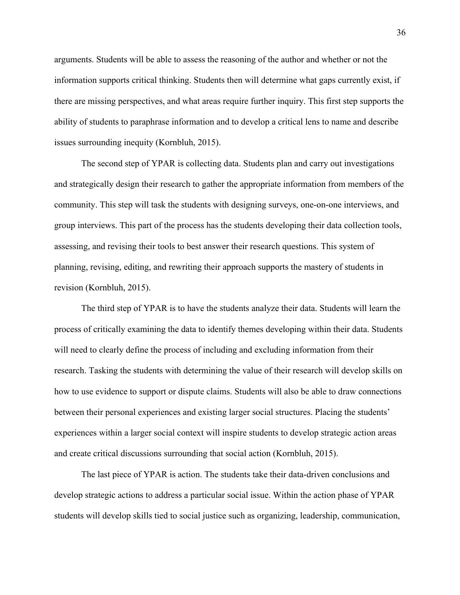arguments. Students will be able to assess the reasoning of the author and whether or not the information supports critical thinking. Students then will determine what gaps currently exist, if there are missing perspectives, and what areas require further inquiry. This first step supports the ability of students to paraphrase information and to develop a critical lens to name and describe issues surrounding inequity (Kornbluh, 2015).

The second step of YPAR is collecting data. Students plan and carry out investigations and strategically design their research to gather the appropriate information from members of the community. This step will task the students with designing surveys, one-on-one interviews, and group interviews. This part of the process has the students developing their data collection tools, assessing, and revising their tools to best answer their research questions. This system of planning, revising, editing, and rewriting their approach supports the mastery of students in revision (Kornbluh, 2015).

The third step of YPAR is to have the students analyze their data. Students will learn the process of critically examining the data to identify themes developing within their data. Students will need to clearly define the process of including and excluding information from their research. Tasking the students with determining the value of their research will develop skills on how to use evidence to support or dispute claims. Students will also be able to draw connections between their personal experiences and existing larger social structures. Placing the students' experiences within a larger social context will inspire students to develop strategic action areas and create critical discussions surrounding that social action (Kornbluh, 2015).

The last piece of YPAR is action. The students take their data-driven conclusions and develop strategic actions to address a particular social issue. Within the action phase of YPAR students will develop skills tied to social justice such as organizing, leadership, communication,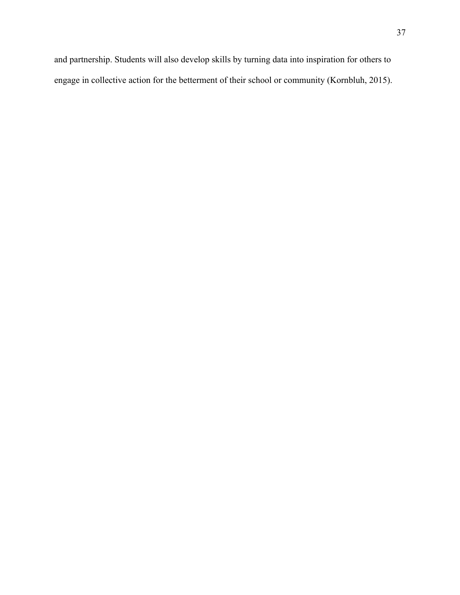and partnership. Students will also develop skills by turning data into inspiration for others to engage in collective action for the betterment of their school or community (Kornbluh, 2015).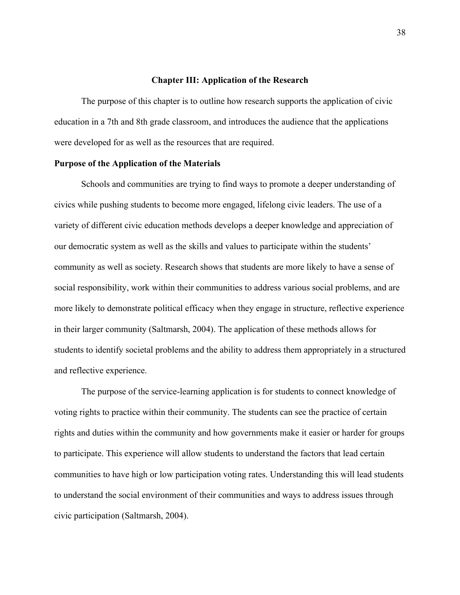#### **Chapter III: Application of the Research**

The purpose of this chapter is to outline how research supports the application of civic education in a 7th and 8th grade classroom, and introduces the audience that the applications were developed for as well as the resources that are required.

#### **Purpose of the Application of the Materials**

Schools and communities are trying to find ways to promote a deeper understanding of civics while pushing students to become more engaged, lifelong civic leaders. The use of a variety of different civic education methods develops a deeper knowledge and appreciation of our democratic system as well as the skills and values to participate within the students' community as well as society. Research shows that students are more likely to have a sense of social responsibility, work within their communities to address various social problems, and are more likely to demonstrate political efficacy when they engage in structure, reflective experience in their larger community (Saltmarsh, 2004). The application of these methods allows for students to identify societal problems and the ability to address them appropriately in a structured and reflective experience.

The purpose of the service-learning application is for students to connect knowledge of voting rights to practice within their community. The students can see the practice of certain rights and duties within the community and how governments make it easier or harder for groups to participate. This experience will allow students to understand the factors that lead certain communities to have high or low participation voting rates. Understanding this will lead students to understand the social environment of their communities and ways to address issues through civic participation (Saltmarsh, 2004).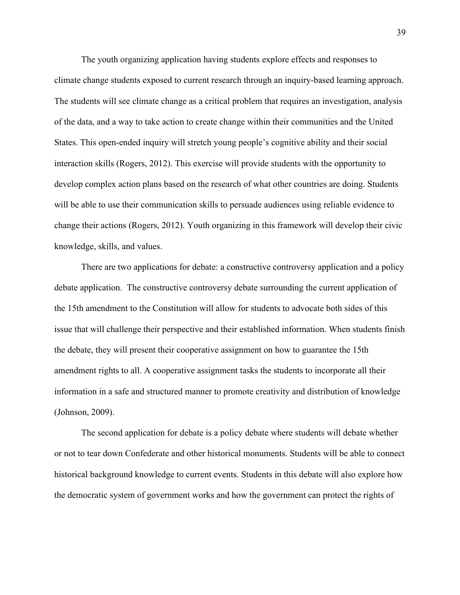The youth organizing application having students explore effects and responses to climate change students exposed to current research through an inquiry-based learning approach. The students will see climate change as a critical problem that requires an investigation, analysis of the data, and a way to take action to create change within their communities and the United States. This open-ended inquiry will stretch young people's cognitive ability and their social interaction skills (Rogers, 2012). This exercise will provide students with the opportunity to develop complex action plans based on the research of what other countries are doing. Students will be able to use their communication skills to persuade audiences using reliable evidence to change their actions (Rogers, 2012). Youth organizing in this framework will develop their civic knowledge, skills, and values.

There are two applications for debate: a constructive controversy application and a policy debate application. The constructive controversy debate surrounding the current application of the 15th amendment to the Constitution will allow for students to advocate both sides of this issue that will challenge their perspective and their established information. When students finish the debate, they will present their cooperative assignment on how to guarantee the 15th amendment rights to all. A cooperative assignment tasks the students to incorporate all their information in a safe and structured manner to promote creativity and distribution of knowledge (Johnson, 2009).

The second application for debate is a policy debate where students will debate whether or not to tear down Confederate and other historical monuments. Students will be able to connect historical background knowledge to current events. Students in this debate will also explore how the democratic system of government works and how the government can protect the rights of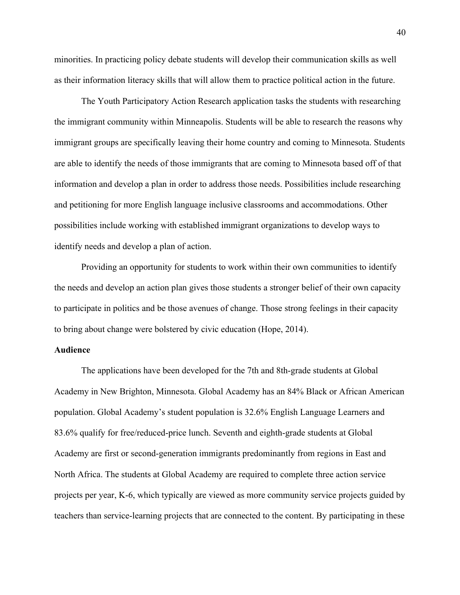minorities. In practicing policy debate students will develop their communication skills as well as their information literacy skills that will allow them to practice political action in the future.

The Youth Participatory Action Research application tasks the students with researching the immigrant community within Minneapolis. Students will be able to research the reasons why immigrant groups are specifically leaving their home country and coming to Minnesota. Students are able to identify the needs of those immigrants that are coming to Minnesota based off of that information and develop a plan in order to address those needs. Possibilities include researching and petitioning for more English language inclusive classrooms and accommodations. Other possibilities include working with established immigrant organizations to develop ways to identify needs and develop a plan of action.

Providing an opportunity for students to work within their own communities to identify the needs and develop an action plan gives those students a stronger belief of their own capacity to participate in politics and be those avenues of change. Those strong feelings in their capacity to bring about change were bolstered by civic education (Hope, 2014).

#### **Audience**

The applications have been developed for the 7th and 8th-grade students at Global Academy in New Brighton, Minnesota. Global Academy has an 84% Black or African American population. Global Academy's student population is 32.6% English Language Learners and 83.6% qualify for free/reduced-price lunch. Seventh and eighth-grade students at Global Academy are first or second-generation immigrants predominantly from regions in East and North Africa. The students at Global Academy are required to complete three action service projects per year, K-6, which typically are viewed as more community service projects guided by teachers than service-learning projects that are connected to the content. By participating in these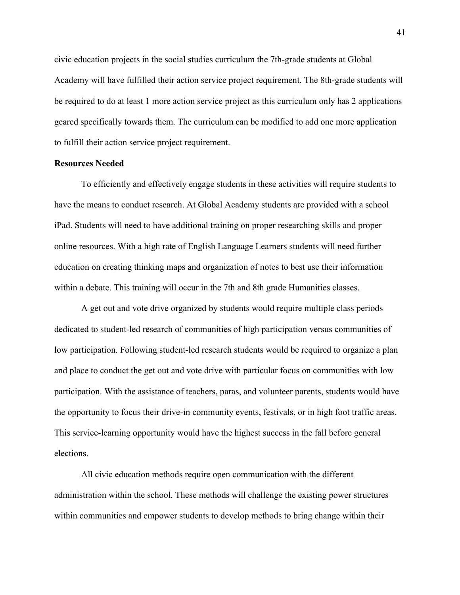civic education projects in the social studies curriculum the 7th-grade students at Global Academy will have fulfilled their action service project requirement. The 8th-grade students will be required to do at least 1 more action service project as this curriculum only has 2 applications geared specifically towards them. The curriculum can be modified to add one more application to fulfill their action service project requirement.

#### **Resources Needed**

To efficiently and effectively engage students in these activities will require students to have the means to conduct research. At Global Academy students are provided with a school iPad. Students will need to have additional training on proper researching skills and proper online resources. With a high rate of English Language Learners students will need further education on creating thinking maps and organization of notes to best use their information within a debate. This training will occur in the 7th and 8th grade Humanities classes.

A get out and vote drive organized by students would require multiple class periods dedicated to student-led research of communities of high participation versus communities of low participation. Following student-led research students would be required to organize a plan and place to conduct the get out and vote drive with particular focus on communities with low participation. With the assistance of teachers, paras, and volunteer parents, students would have the opportunity to focus their drive-in community events, festivals, or in high foot traffic areas. This service-learning opportunity would have the highest success in the fall before general elections.

All civic education methods require open communication with the different administration within the school. These methods will challenge the existing power structures within communities and empower students to develop methods to bring change within their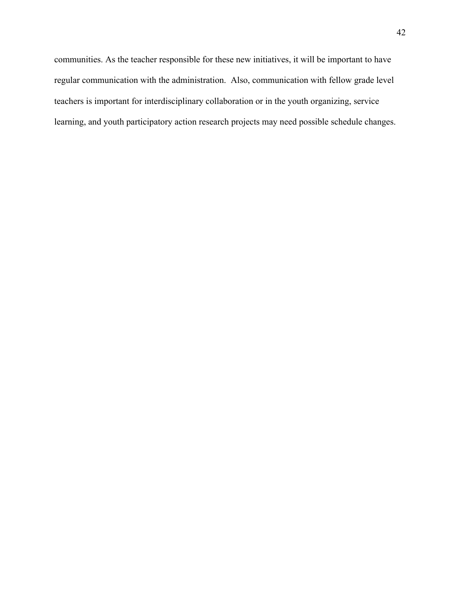communities. As the teacher responsible for these new initiatives, it will be important to have regular communication with the administration. Also, communication with fellow grade level teachers is important for interdisciplinary collaboration or in the youth organizing, service learning, and youth participatory action research projects may need possible schedule changes.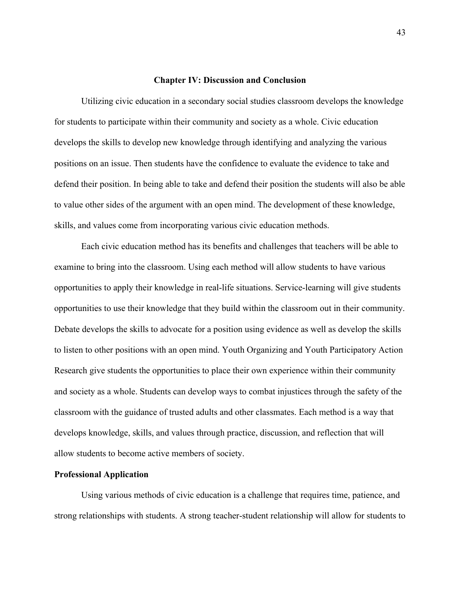#### **Chapter IV: Discussion and Conclusion**

Utilizing civic education in a secondary social studies classroom develops the knowledge for students to participate within their community and society as a whole. Civic education develops the skills to develop new knowledge through identifying and analyzing the various positions on an issue. Then students have the confidence to evaluate the evidence to take and defend their position. In being able to take and defend their position the students will also be able to value other sides of the argument with an open mind. The development of these knowledge, skills, and values come from incorporating various civic education methods.

Each civic education method has its benefits and challenges that teachers will be able to examine to bring into the classroom. Using each method will allow students to have various opportunities to apply their knowledge in real-life situations. Service-learning will give students opportunities to use their knowledge that they build within the classroom out in their community. Debate develops the skills to advocate for a position using evidence as well as develop the skills to listen to other positions with an open mind. Youth Organizing and Youth Participatory Action Research give students the opportunities to place their own experience within their community and society as a whole. Students can develop ways to combat injustices through the safety of the classroom with the guidance of trusted adults and other classmates. Each method is a way that develops knowledge, skills, and values through practice, discussion, and reflection that will allow students to become active members of society.

#### **Professional Application**

Using various methods of civic education is a challenge that requires time, patience, and strong relationships with students. A strong teacher-student relationship will allow for students to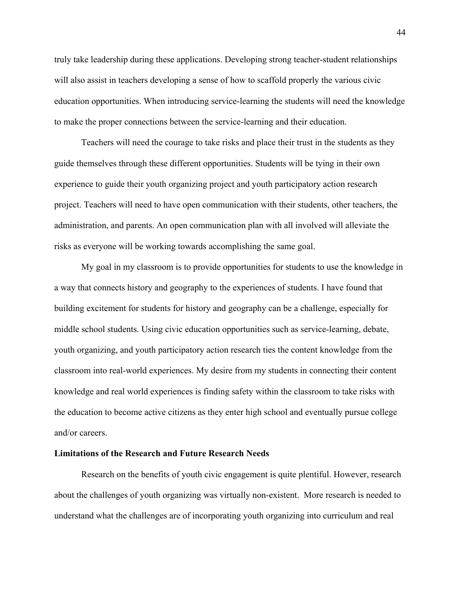truly take leadership during these applications. Developing strong teacher-student relationships will also assist in teachers developing a sense of how to scaffold properly the various civic education opportunities. When introducing service-learning the students will need the knowledge to make the proper connections between the service-learning and their education.

Teachers will need the courage to take risks and place their trust in the students as they guide themselves through these different opportunities. Students will be tying in their own experience to guide their youth organizing project and youth participatory action research project. Teachers will need to have open communication with their students, other teachers, the administration, and parents. An open communication plan with all involved will alleviate the risks as everyone will be working towards accomplishing the same goal.

My goal in my classroom is to provide opportunities for students to use the knowledge in a way that connects history and geography to the experiences of students. I have found that building excitement for students for history and geography can be a challenge, especially for middle school students. Using civic education opportunities such as service-learning, debate, youth organizing, and youth participatory action research ties the content knowledge from the classroom into real-world experiences. My desire from my students in connecting their content knowledge and real world experiences is finding safety within the classroom to take risks with the education to become active citizens as they enter high school and eventually pursue college and/or careers.

## **Limitations of the Research and Future Research Needs**

Research on the benefits of youth civic engagement is quite plentiful. However, research about the challenges of youth organizing was virtually non-existent. More research is needed to understand what the challenges are of incorporating youth organizing into curriculum and real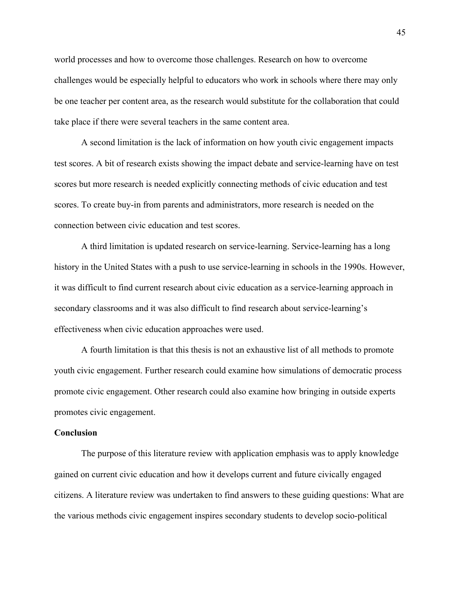world processes and how to overcome those challenges. Research on how to overcome challenges would be especially helpful to educators who work in schools where there may only be one teacher per content area, as the research would substitute for the collaboration that could take place if there were several teachers in the same content area.

A second limitation is the lack of information on how youth civic engagement impacts test scores. A bit of research exists showing the impact debate and service-learning have on test scores but more research is needed explicitly connecting methods of civic education and test scores. To create buy-in from parents and administrators, more research is needed on the connection between civic education and test scores.

A third limitation is updated research on service-learning. Service-learning has a long history in the United States with a push to use service-learning in schools in the 1990s. However, it was difficult to find current research about civic education as a service-learning approach in secondary classrooms and it was also difficult to find research about service-learning's effectiveness when civic education approaches were used.

A fourth limitation is that this thesis is not an exhaustive list of all methods to promote youth civic engagement. Further research could examine how simulations of democratic process promote civic engagement. Other research could also examine how bringing in outside experts promotes civic engagement.

#### **Conclusion**

The purpose of this literature review with application emphasis was to apply knowledge gained on current civic education and how it develops current and future civically engaged citizens. A literature review was undertaken to find answers to these guiding questions: What are the various methods civic engagement inspires secondary students to develop socio-political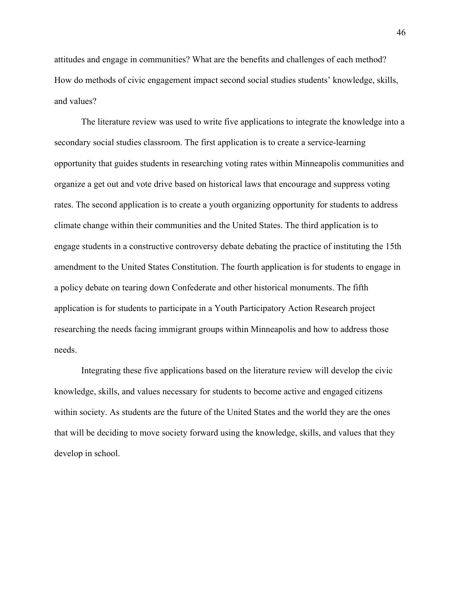attitudes and engage in communities? What are the benefits and challenges of each method? How do methods of civic engagement impact second social studies students' knowledge, skills, and values?

The literature review was used to write five applications to integrate the knowledge into a secondary social studies classroom. The first application is to create a service-learning opportunity that guides students in researching voting rates within Minneapolis communities and organize a get out and vote drive based on historical laws that encourage and suppress voting rates. The second application is to create a youth organizing opportunity for students to address climate change within their communities and the United States. The third application is to engage students in a constructive controversy debate debating the practice of instituting the 15th amendment to the United States Constitution. The fourth application is for students to engage in a policy debate on tearing down Confederate and other historical monuments. The fifth application is for students to participate in a Youth Participatory Action Research project researching the needs facing immigrant groups within Minneapolis and how to address those needs.

Integrating these five applications based on the literature review will develop the civic knowledge, skills, and values necessary for students to become active and engaged citizens within society. As students are the future of the United States and the world they are the ones that will be deciding to move society forward using the knowledge, skills, and values that they develop in school.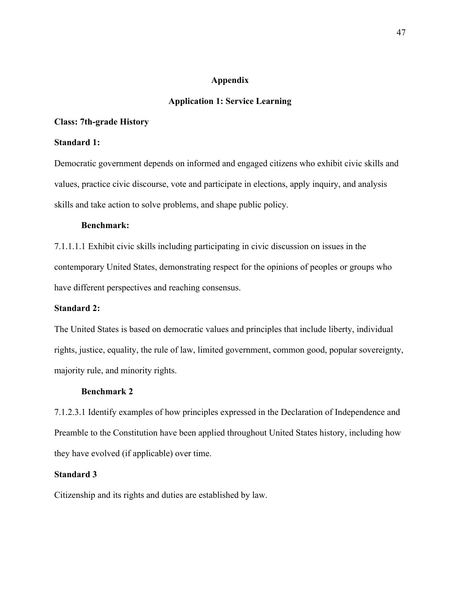## **Appendix**

## **Application 1: Service Learning**

## **Class: 7th-grade History**

## **Standard 1:**

Democratic government depends on informed and engaged citizens who exhibit civic skills and values, practice civic discourse, vote and participate in elections, apply inquiry, and analysis skills and take action to solve problems, and shape public policy.

## **Benchmark:**

7.1.1.1.1 Exhibit civic skills including participating in civic discussion on issues in the contemporary United States, demonstrating respect for the opinions of peoples or groups who have different perspectives and reaching consensus.

### **Standard 2:**

The United States is based on democratic values and principles that include liberty, individual rights, justice, equality, the rule of law, limited government, common good, popular sovereignty, majority rule, and minority rights.

#### **Benchmark 2**

7.1.2.3.1 Identify examples of how principles expressed in the Declaration of Independence and Preamble to the Constitution have been applied throughout United States history, including how they have evolved (if applicable) over time.

## **Standard 3**

Citizenship and its rights and duties are established by law.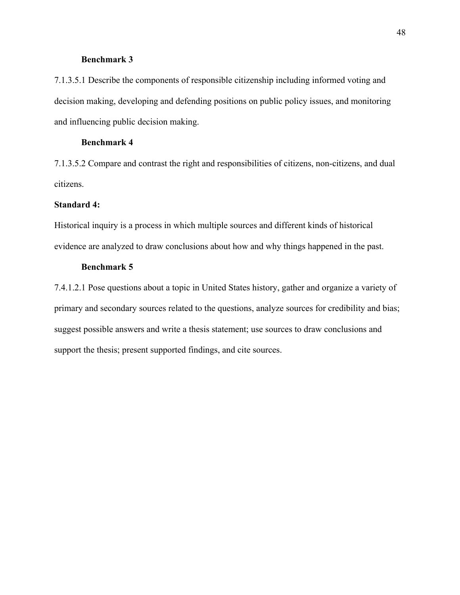## **Benchmark 3**

7.1.3.5.1 Describe the components of responsible citizenship including informed voting and decision making, developing and defending positions on public policy issues, and monitoring and influencing public decision making.

## **Benchmark 4**

7.1.3.5.2 Compare and contrast the right and responsibilities of citizens, non-citizens, and dual citizens.

## **Standard 4:**

Historical inquiry is a process in which multiple sources and different kinds of historical evidence are analyzed to draw conclusions about how and why things happened in the past.

## **Benchmark 5**

7.4.1.2.1 Pose questions about a topic in United States history, gather and organize a variety of primary and secondary sources related to the questions, analyze sources for credibility and bias; suggest possible answers and write a thesis statement; use sources to draw conclusions and support the thesis; present supported findings, and cite sources.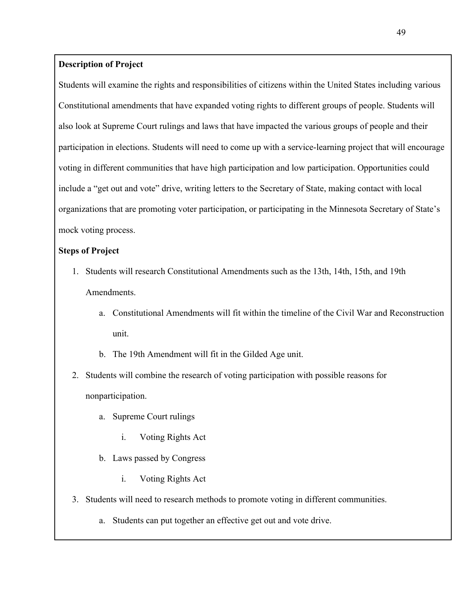## **Description of Project**

Students will examine the rights and responsibilities of citizens within the United States including various Constitutional amendments that have expanded voting rights to different groups of people. Students will also look at Supreme Court rulings and laws that have impacted the various groups of people and their participation in elections. Students will need to come up with a service-learning project that will encourage voting in different communities that have high participation and low participation. Opportunities could include a "get out and vote" drive, writing letters to the Secretary of State, making contact with local organizations that are promoting voter participation, or participating in the Minnesota Secretary of State's mock voting process.

## **Steps of Project**

- 1. Students will research Constitutional Amendments such as the 13th, 14th, 15th, and 19th **Amendments** 
	- a. Constitutional Amendments will fit within the timeline of the Civil War and Reconstruction unit.
	- b. The 19th Amendment will fit in the Gilded Age unit.
- 2. Students will combine the research of voting participation with possible reasons for nonparticipation.
	- a. Supreme Court rulings
		- i. Voting Rights Act
	- b. Laws passed by Congress
		- i. Voting Rights Act
- 3. Students will need to research methods to promote voting in different communities.
	- a. Students can put together an effective get out and vote drive.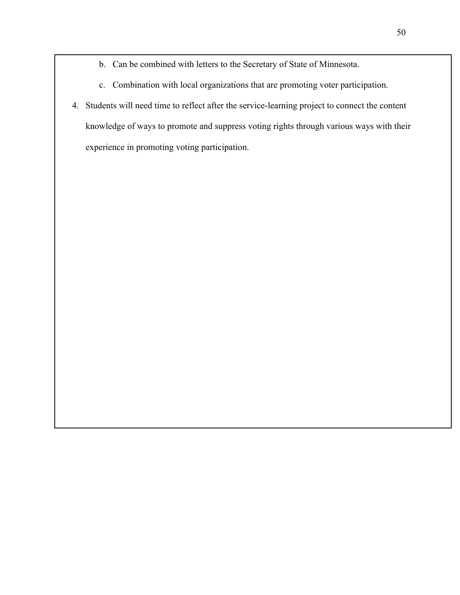- b. Can be combined with letters to the Secretary of State of Minnesota.
- c. Combination with local organizations that are promoting voter participation.
- 4. Students will need time to reflect after the service-learning project to connect the content knowledge of ways to promote and suppress voting rights through various ways with their experience in promoting voting participation.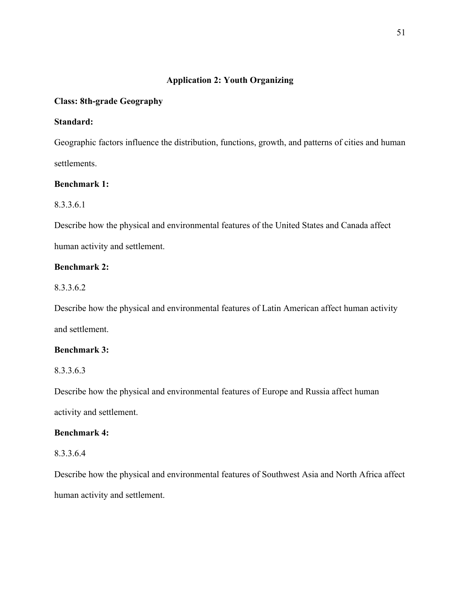## **Application 2: Youth Organizing**

## **Class: 8th-grade Geography**

## **Standard:**

Geographic factors influence the distribution, functions, growth, and patterns of cities and human settlements.

## **Benchmark 1:**

## 8.3.3.6.1

Describe how the physical and environmental features of the United States and Canada affect human activity and settlement.

## **Benchmark 2:**

8.3.3.6.2

Describe how the physical and environmental features of Latin American affect human activity and settlement.

## **Benchmark 3:**

8.3.3.6.3

Describe how the physical and environmental features of Europe and Russia affect human activity and settlement.

## **Benchmark 4:**

## 8.3.3.6.4

Describe how the physical and environmental features of Southwest Asia and North Africa affect human activity and settlement.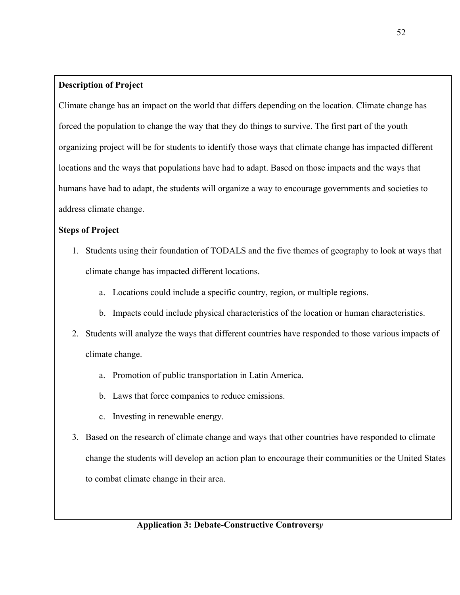## **Description of Project**

Climate change has an impact on the world that differs depending on the location. Climate change has forced the population to change the way that they do things to survive. The first part of the youth organizing project will be for students to identify those ways that climate change has impacted different locations and the ways that populations have had to adapt. Based on those impacts and the ways that humans have had to adapt, the students will organize a way to encourage governments and societies to address climate change.

## **Steps of Project**

- 1. Students using their foundation of TODALS and the five themes of geography to look at ways that climate change has impacted different locations.
	- a. Locations could include a specific country, region, or multiple regions.
	- b. Impacts could include physical characteristics of the location or human characteristics.
- 2. Students will analyze the ways that different countries have responded to those various impacts of climate change.
	- a. Promotion of public transportation in Latin America.
	- b. Laws that force companies to reduce emissions.
	- c. Investing in renewable energy.
- 3. Based on the research of climate change and ways that other countries have responded to climate change the students will develop an action plan to encourage their communities or the United States to combat climate change in their area.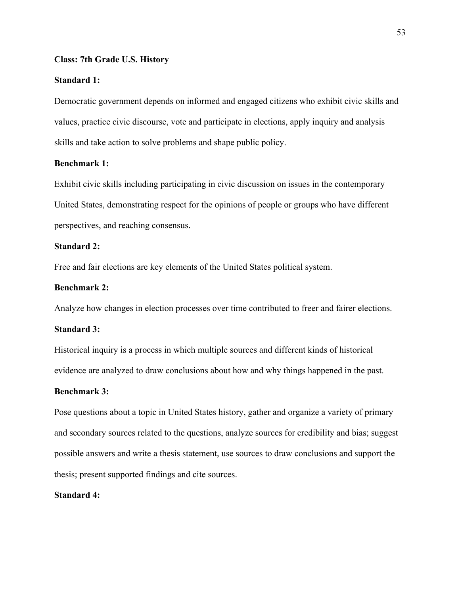#### **Class: 7th Grade U.S. History**

#### **Standard 1:**

Democratic government depends on informed and engaged citizens who exhibit civic skills and values, practice civic discourse, vote and participate in elections, apply inquiry and analysis skills and take action to solve problems and shape public policy.

## **Benchmark 1:**

Exhibit civic skills including participating in civic discussion on issues in the contemporary United States, demonstrating respect for the opinions of people or groups who have different perspectives, and reaching consensus.

## **Standard 2:**

Free and fair elections are key elements of the United States political system.

## **Benchmark 2:**

Analyze how changes in election processes over time contributed to freer and fairer elections.

#### **Standard 3:**

Historical inquiry is a process in which multiple sources and different kinds of historical evidence are analyzed to draw conclusions about how and why things happened in the past.

#### **Benchmark 3:**

Pose questions about a topic in United States history, gather and organize a variety of primary and secondary sources related to the questions, analyze sources for credibility and bias; suggest possible answers and write a thesis statement, use sources to draw conclusions and support the thesis; present supported findings and cite sources.

#### **Standard 4:**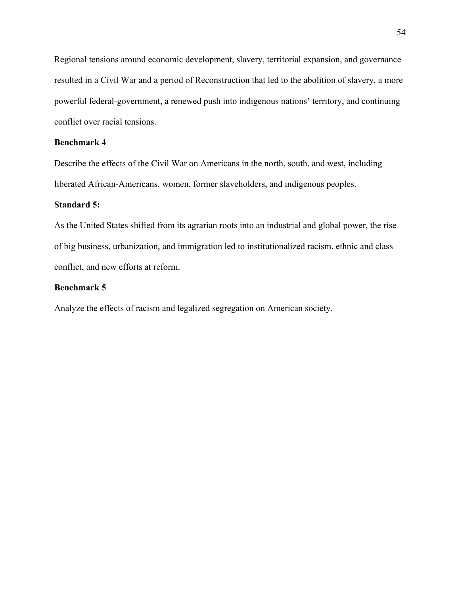Regional tensions around economic development, slavery, territorial expansion, and governance resulted in a Civil War and a period of Reconstruction that led to the abolition of slavery, a more powerful federal-government, a renewed push into indigenous nations' territory, and continuing conflict over racial tensions.

## **Benchmark 4**

Describe the effects of the Civil War on Americans in the north, south, and west, including liberated African-Americans, women, former slaveholders, and indigenous peoples.

#### **Standard 5:**

As the United States shifted from its agrarian roots into an industrial and global power, the rise of big business, urbanization, and immigration led to institutionalized racism, ethnic and class conflict, and new efforts at reform.

## **Benchmark 5**

Analyze the effects of racism and legalized segregation on American society.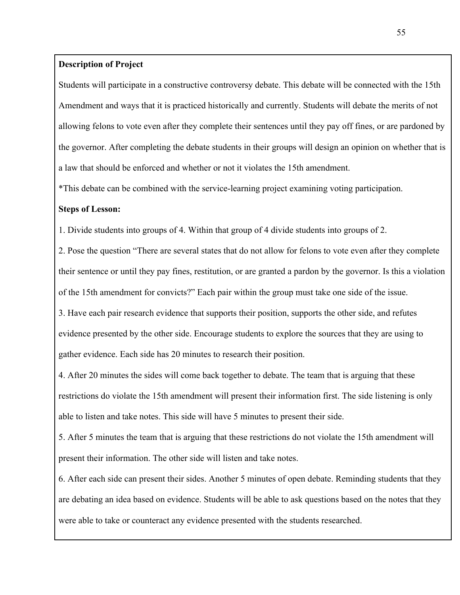## **Description of Project**

Students will participate in a constructive controversy debate. This debate will be connected with the 15th Amendment and ways that it is practiced historically and currently. Students will debate the merits of not allowing felons to vote even after they complete their sentences until they pay off fines, or are pardoned by the governor. After completing the debate students in their groups will design an opinion on whether that is a law that should be enforced and whether or not it violates the 15th amendment.

\*This debate can be combined with the service-learning project examining voting participation.

## **Steps of Lesson:**

1. Divide students into groups of 4. Within that group of 4 divide students into groups of 2.

2. Pose the question "There are several states that do not allow for felons to vote even after they complete their sentence or until they pay fines, restitution, or are granted a pardon by the governor. Is this a violation of the 15th amendment for convicts?" Each pair within the group must take one side of the issue.

3. Have each pair research evidence that supports their position, supports the other side, and refutes evidence presented by the other side. Encourage students to explore the sources that they are using to gather evidence. Each side has 20 minutes to research their position.

4. After 20 minutes the sides will come back together to debate. The team that is arguing that these restrictions do violate the 15th amendment will present their information first. The side listening is only able to listen and take notes. This side will have 5 minutes to present their side.

5. After 5 minutes the team that is arguing that these restrictions do not violate the 15th amendment will present their information. The other side will listen and take notes.

6. After each side can present their sides. Another 5 minutes of open debate. Reminding students that they are debating an idea based on evidence. Students will be able to ask questions based on the notes that they were able to take or counteract any evidence presented with the students researched.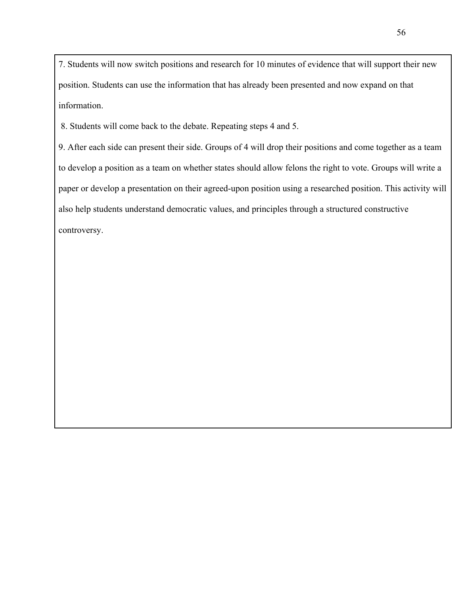7. Students will now switch positions and research for 10 minutes of evidence that will support their new position. Students can use the information that has already been presented and now expand on that information.

8. Students will come back to the debate. Repeating steps 4 and 5.

9. After each side can present their side. Groups of 4 will drop their positions and come together as a team to develop a position as a team on whether states should allow felons the right to vote. Groups will write a paper or develop a presentation on their agreed-upon position using a researched position. This activity will also help students understand democratic values, and principles through a structured constructive controversy.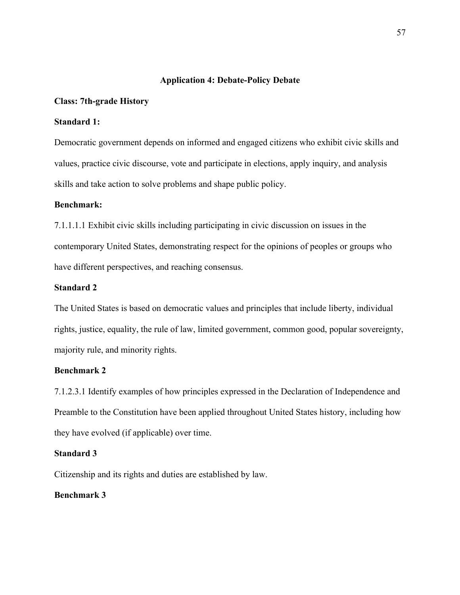## **Application 4: Debate-Policy Debate**

## **Class: 7th-grade History**

## **Standard 1:**

Democratic government depends on informed and engaged citizens who exhibit civic skills and values, practice civic discourse, vote and participate in elections, apply inquiry, and analysis skills and take action to solve problems and shape public policy.

#### **Benchmark:**

7.1.1.1.1 Exhibit civic skills including participating in civic discussion on issues in the contemporary United States, demonstrating respect for the opinions of peoples or groups who have different perspectives, and reaching consensus.

## **Standard 2**

The United States is based on democratic values and principles that include liberty, individual rights, justice, equality, the rule of law, limited government, common good, popular sovereignty, majority rule, and minority rights.

#### **Benchmark 2**

7.1.2.3.1 Identify examples of how principles expressed in the Declaration of Independence and Preamble to the Constitution have been applied throughout United States history, including how they have evolved (if applicable) over time.

#### **Standard 3**

Citizenship and its rights and duties are established by law.

## **Benchmark 3**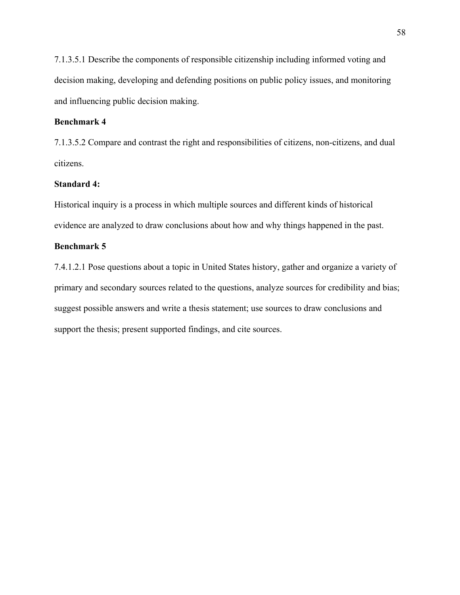7.1.3.5.1 Describe the components of responsible citizenship including informed voting and decision making, developing and defending positions on public policy issues, and monitoring and influencing public decision making.

## **Benchmark 4**

7.1.3.5.2 Compare and contrast the right and responsibilities of citizens, non-citizens, and dual citizens.

### **Standard 4:**

Historical inquiry is a process in which multiple sources and different kinds of historical evidence are analyzed to draw conclusions about how and why things happened in the past.

## **Benchmark 5**

7.4.1.2.1 Pose questions about a topic in United States history, gather and organize a variety of primary and secondary sources related to the questions, analyze sources for credibility and bias; suggest possible answers and write a thesis statement; use sources to draw conclusions and support the thesis; present supported findings, and cite sources.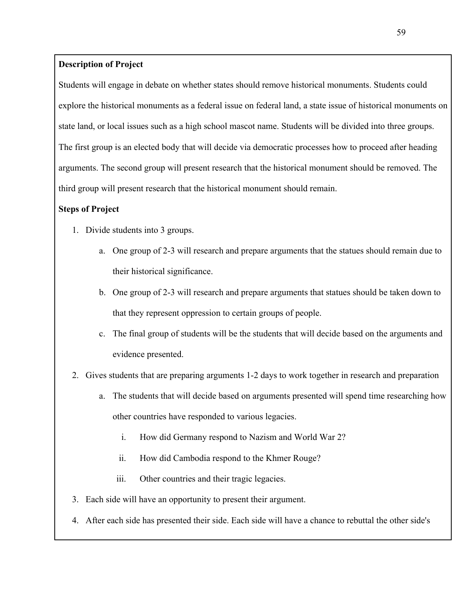## **Description of Project**

Students will engage in debate on whether states should remove historical monuments. Students could explore the historical monuments as a federal issue on federal land, a state issue of historical monuments on state land, or local issues such as a high school mascot name. Students will be divided into three groups. The first group is an elected body that will decide via democratic processes how to proceed after heading arguments. The second group will present research that the historical monument should be removed. The third group will present research that the historical monument should remain.

## **Steps of Project**

- 1. Divide students into 3 groups.
	- a. One group of 2-3 will research and prepare arguments that the statues should remain due to their historical significance.
	- b. One group of 2-3 will research and prepare arguments that statues should be taken down to that they represent oppression to certain groups of people.
	- c. The final group of students will be the students that will decide based on the arguments and evidence presented.
- 2. Gives students that are preparing arguments 1-2 days to work together in research and preparation
	- a. The students that will decide based on arguments presented will spend time researching how other countries have responded to various legacies.
		- i. How did Germany respond to Nazism and World War 2?
		- ii. How did Cambodia respond to the Khmer Rouge?
		- iii. Other countries and their tragic legacies.
- 3. Each side will have an opportunity to present their argument.
- 4. After each side has presented their side. Each side will have a chance to rebuttal the other side's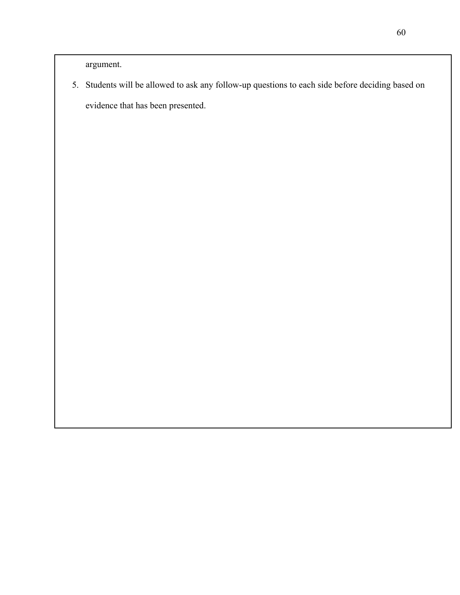argument.

5. Students will be allowed to ask any follow-up questions to each side before deciding based on evidence that has been presented.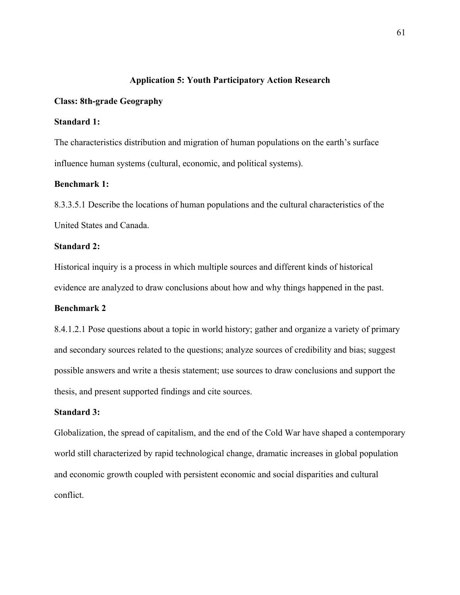## **Application 5: Youth Participatory Action Research**

## **Class: 8th-grade Geography**

## **Standard 1:**

The characteristics distribution and migration of human populations on the earth's surface influence human systems (cultural, economic, and political systems).

## **Benchmark 1:**

8.3.3.5.1 Describe the locations of human populations and the cultural characteristics of the United States and Canada.

#### **Standard 2:**

Historical inquiry is a process in which multiple sources and different kinds of historical evidence are analyzed to draw conclusions about how and why things happened in the past.

## **Benchmark 2**

8.4.1.2.1 Pose questions about a topic in world history; gather and organize a variety of primary and secondary sources related to the questions; analyze sources of credibility and bias; suggest possible answers and write a thesis statement; use sources to draw conclusions and support the thesis, and present supported findings and cite sources.

## **Standard 3:**

Globalization, the spread of capitalism, and the end of the Cold War have shaped a contemporary world still characterized by rapid technological change, dramatic increases in global population and economic growth coupled with persistent economic and social disparities and cultural conflict.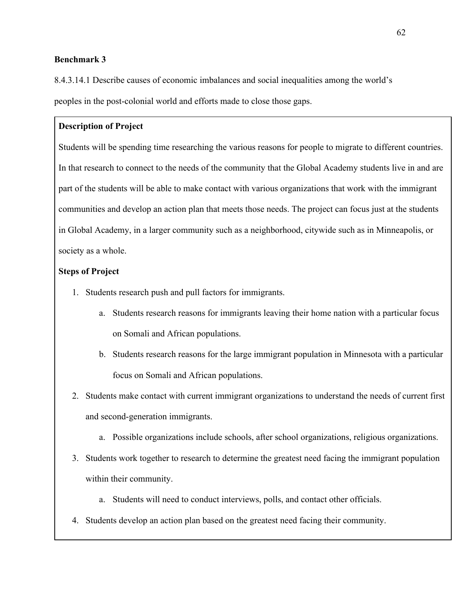## **Benchmark 3**

8.4.3.14.1 Describe causes of economic imbalances and social inequalities among the world's peoples in the post-colonial world and efforts made to close those gaps.

## **Description of Project**

Students will be spending time researching the various reasons for people to migrate to different countries. In that research to connect to the needs of the community that the Global Academy students live in and are part of the students will be able to make contact with various organizations that work with the immigrant communities and develop an action plan that meets those needs. The project can focus just at the students in Global Academy, in a larger community such as a neighborhood, citywide such as in Minneapolis, or society as a whole.

## **Steps of Project**

- 1. Students research push and pull factors for immigrants.
	- a. Students research reasons for immigrants leaving their home nation with a particular focus on Somali and African populations.
	- b. Students research reasons for the large immigrant population in Minnesota with a particular focus on Somali and African populations.
- 2. Students make contact with current immigrant organizations to understand the needs of current first and second-generation immigrants.
	- a. Possible organizations include schools, after school organizations, religious organizations.
- 3. Students work together to research to determine the greatest need facing the immigrant population within their community.
	- a. Students will need to conduct interviews, polls, and contact other officials.
- 4. Students develop an action plan based on the greatest need facing their community.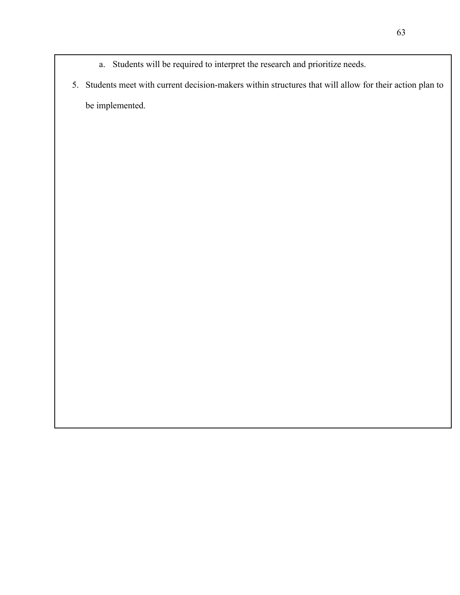- a. Students will be required to interpret the research and prioritize needs.
- 5. Students meet with current decision-makers within structures that will allow for their action plan to be implemented.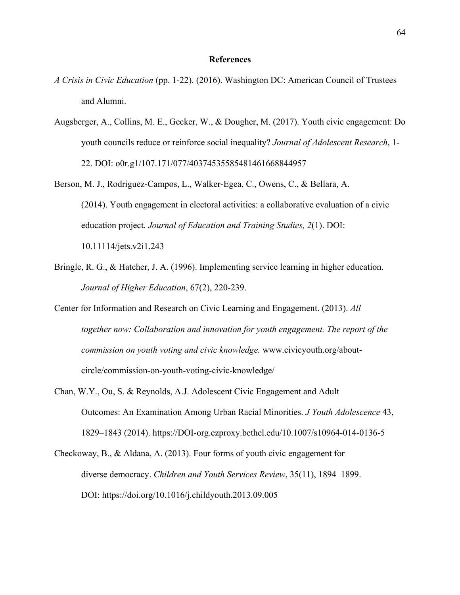#### **References**

- *A Crisis in Civic Education* (pp. 1-22). (2016). Washington DC: American Council of Trustees and Alumni.
- Augsberger, A., Collins, M. E., Gecker, W., & Dougher, M. (2017). Youth civic engagement: Do youth councils reduce or reinforce social inequality? *Journal of Adolescent Research*, 1- 22. DOI: o0r.g1/107.171/077/40374535585481461668844957
- Berson, M. J., Rodriguez-Campos, L., Walker-Egea, C., Owens, C., & Bellara, A. (2014). Youth engagement in electoral activities: a collaborative evaluation of a civic education project. *Journal of Education and Training Studies, 2*(1). DOI: 10.11114/jets.v2i1.243
- Bringle, R. G., & Hatcher, J. A. (1996). Implementing service learning in higher education. *Journal of Higher Education*, 67(2), 220-239.
- Center for Information and Research on Civic Learning and Engagement. (2013). *All together now: Collaboration and innovation for youth engagement. The report of the commission on youth voting and civic knowledge.* www.civicyouth.org/aboutcircle/commission-on-youth-voting-civic-knowledge/
- Chan, W.Y., Ou, S. & Reynolds, A.J. Adolescent Civic Engagement and Adult Outcomes: An Examination Among Urban Racial Minorities. *J Youth Adolescence* 43, 1829–1843 (2014). https://DOI-org.ezproxy.bethel.edu/10.1007/s10964-014-0136-5
- Checkoway, B., & Aldana, A. (2013). Four forms of youth civic engagement for diverse democracy. *Children and Youth Services Review*, 35(11), 1894–1899. DOI: https://doi.org/10.1016/j.childyouth.2013.09.005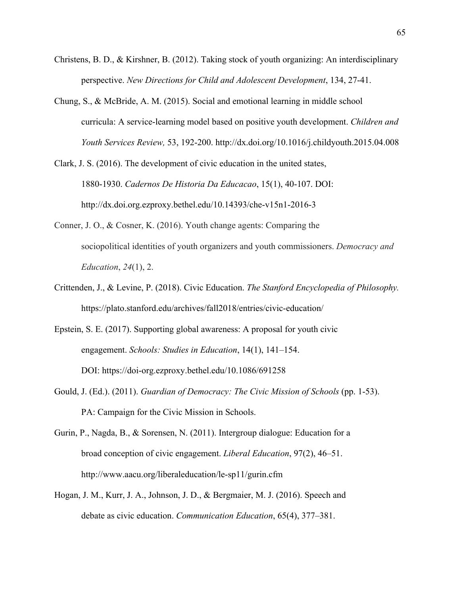- Christens, B. D., & Kirshner, B. (2012). Taking stock of youth organizing: An interdisciplinary perspective. *New Directions for Child and Adolescent Development*, 134, 27-41.
- Chung, S., & McBride, A. M. (2015). Social and emotional learning in middle school curricula: A service-learning model based on positive youth development. *Children and Youth Services Review,* 53, 192-200. http://dx.doi.org/10.1016/j.childyouth.2015.04.008
- Clark, J. S. (2016). The development of civic education in the united states, 1880-1930. *Cadernos De Historia Da Educacao*, 15(1), 40-107. DOI: http://dx.doi.org.ezproxy.bethel.edu/10.14393/che-v15n1-2016-3
- Conner, J. O., & Cosner, K. (2016). Youth change agents: Comparing the sociopolitical identities of youth organizers and youth commissioners. *Democracy and Education*, *24*(1), 2.
- Crittenden, J., & Levine, P. (2018). Civic Education. *The Stanford Encyclopedia of Philosophy.* https://plato.stanford.edu/archives/fall2018/entries/civic-education/
- Epstein, S. E. (2017). Supporting global awareness: A proposal for youth civic engagement. *Schools: Studies in Education*, 14(1), 141–154. DOI: https://doi-org.ezproxy.bethel.edu/10.1086/691258
- Gould, J. (Ed.). (2011). *Guardian of Democracy: The Civic Mission of Schools* (pp. 1-53). PA: Campaign for the Civic Mission in Schools.
- Gurin, P., Nagda, B., & Sorensen, N. (2011). Intergroup dialogue: Education for a broad conception of civic engagement. *Liberal Education*, 97(2), 46–51. http://www.aacu.org/liberaleducation/le-sp11/gurin.cfm
- Hogan, J. M., Kurr, J. A., Johnson, J. D., & Bergmaier, M. J. (2016). Speech and debate as civic education. *Communication Education*, 65(4), 377–381.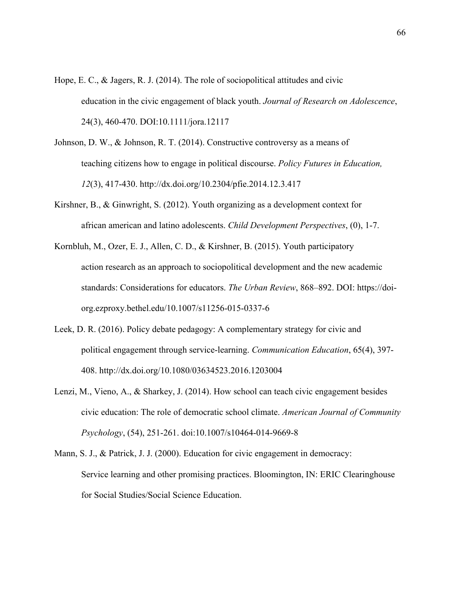- Hope, E. C., & Jagers, R. J. (2014). The role of sociopolitical attitudes and civic education in the civic engagement of black youth. *Journal of Research on Adolescence*, 24(3), 460-470. DOI:10.1111/jora.12117
- Johnson, D. W., & Johnson, R. T. (2014). Constructive controversy as a means of teaching citizens how to engage in political discourse. *Policy Futures in Education, 12*(3), 417-430. http://dx.doi.org/10.2304/pfie.2014.12.3.417
- Kirshner, B., & Ginwright, S. (2012). Youth organizing as a development context for african american and latino adolescents. *Child Development Perspectives*, (0), 1-7.
- Kornbluh, M., Ozer, E. J., Allen, C. D., & Kirshner, B. (2015). Youth participatory action research as an approach to sociopolitical development and the new academic standards: Considerations for educators. *The Urban Review*, 868–892. DOI: https://doiorg.ezproxy.bethel.edu/10.1007/s11256-015-0337-6
- Leek, D. R. (2016). Policy debate pedagogy: A complementary strategy for civic and political engagement through service-learning. *Communication Education*, 65(4), 397- 408. http://dx.doi.org/10.1080/03634523.2016.1203004
- Lenzi, M., Vieno, A., & Sharkey, J. (2014). How school can teach civic engagement besides civic education: The role of democratic school climate. *American Journal of Community Psychology*, (54), 251-261. doi:10.1007/s10464-014-9669-8
- Mann, S. J., & Patrick, J. J. (2000). Education for civic engagement in democracy: Service learning and other promising practices. Bloomington, IN: ERIC Clearinghouse for Social Studies/Social Science Education.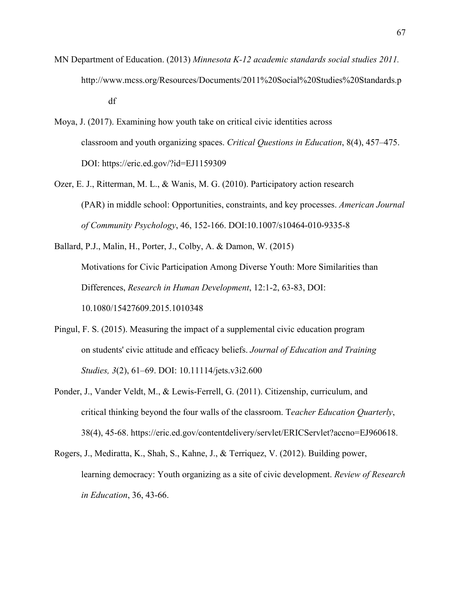- MN Department of Education. (2013) *Minnesota K-12 academic standards social studies 2011.*  http://www.mcss.org/Resources/Documents/2011%20Social%20Studies%20Standards.p df
- Moya, J. (2017). Examining how youth take on critical civic identities across classroom and youth organizing spaces. *Critical Questions in Education*, 8(4), 457–475. DOI: https://eric.ed.gov/?id=EJ1159309
- Ozer, E. J., Ritterman, M. L., & Wanis, M. G. (2010). Participatory action research (PAR) in middle school: Opportunities, constraints, and key processes. *American Journal of Community Psychology*, 46, 152-166. DOI:10.1007/s10464-010-9335-8

Ballard, P.J., Malin, H., Porter, J., Colby, A. & Damon, W. (2015) Motivations for Civic Participation Among Diverse Youth: More Similarities than Differences, *Research in Human Development*, 12:1-2, 63-83, DOI: 10.1080/15427609.2015.1010348

- Pingul, F. S. (2015). Measuring the impact of a supplemental civic education program on students' civic attitude and efficacy beliefs. *Journal of Education and Training Studies, 3*(2), 61–69. DOI: 10.11114/jets.v3i2.600
- Ponder, J., Vander Veldt, M., & Lewis-Ferrell, G. (2011). Citizenship, curriculum, and critical thinking beyond the four walls of the classroom. T*eacher Education Quarterly*, 38(4), 45-68. https://eric.ed.gov/contentdelivery/servlet/ERICServlet?accno=EJ960618.
- Rogers, J., Mediratta, K., Shah, S., Kahne, J., & Terriquez, V. (2012). Building power, learning democracy: Youth organizing as a site of civic development. *Review of Research in Education*, 36, 43-66.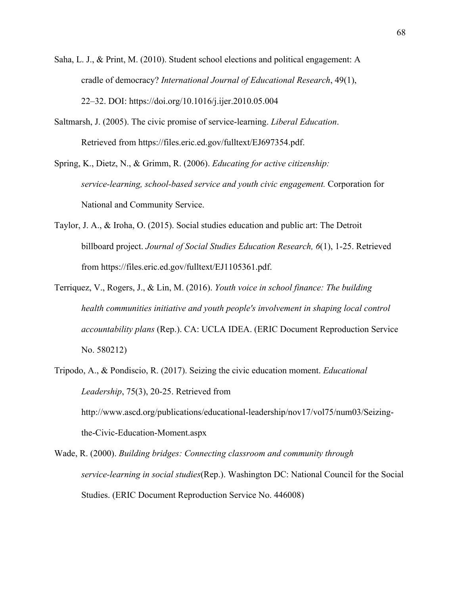- Saha, L. J., & Print, M. (2010). Student school elections and political engagement: A cradle of democracy? *International Journal of Educational Research*, 49(1), 22–32. DOI: https://doi.org/10.1016/j.ijer.2010.05.004
- Saltmarsh, J. (2005). The civic promise of service-learning. *Liberal Education*. Retrieved from https://files.eric.ed.gov/fulltext/EJ697354.pdf.

Spring, K., Dietz, N., & Grimm, R. (2006). *Educating for active citizenship: service-learning, school-based service and youth civic engagement.* Corporation for National and Community Service.

- Taylor, J. A., & Iroha, O. (2015). Social studies education and public art: The Detroit billboard project. *Journal of Social Studies Education Research, 6*(1), 1-25. Retrieved from https://files.eric.ed.gov/fulltext/EJ1105361.pdf.
- Terriquez, V., Rogers, J., & Lin, M. (2016). *Youth voice in school finance: The building health communities initiative and youth people's involvement in shaping local control accountability plans* (Rep.). CA: UCLA IDEA. (ERIC Document Reproduction Service No. 580212)
- Tripodo, A., & Pondiscio, R. (2017). Seizing the civic education moment. *Educational Leadership*, 75(3), 20-25. Retrieved from http://www.ascd.org/publications/educational-leadership/nov17/vol75/num03/Seizingthe-Civic-Education-Moment.aspx

Wade, R. (2000). *Building bridges: Connecting classroom and community through service-learning in social studies*(Rep.). Washington DC: National Council for the Social Studies. (ERIC Document Reproduction Service No. 446008)